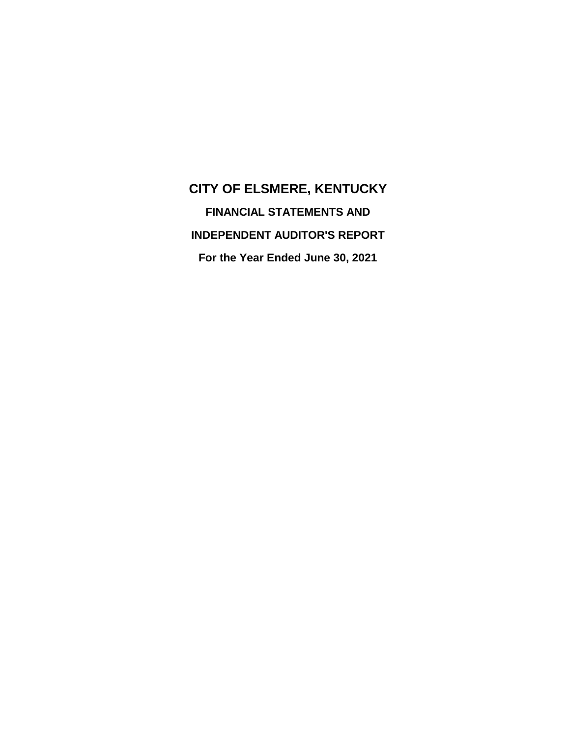**CITY OF ELSMERE, KENTUCKY FINANCIAL STATEMENTS AND INDEPENDENT AUDITOR'S REPORT For the Year Ended June 30, 2021**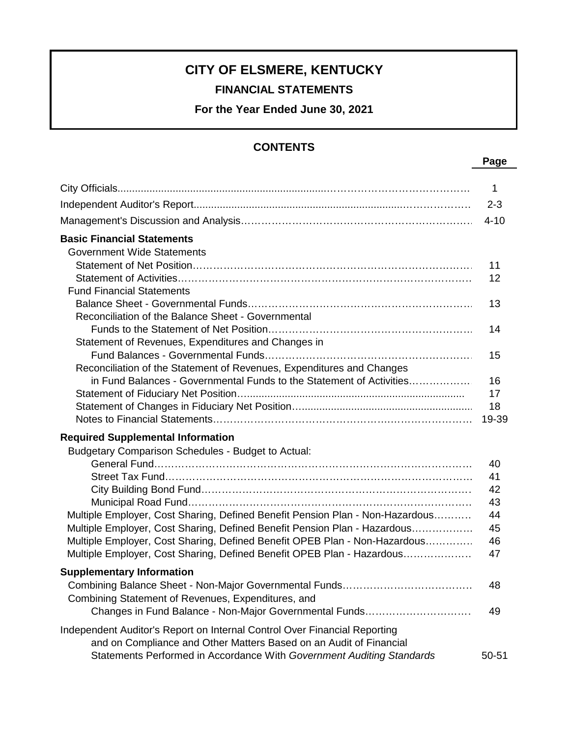# **CITY OF ELSMERE, KENTUCKY**

**FINANCIAL STATEMENTS**

**For the Year Ended June 30, 2021**

# **CONTENTS**

**Page**

| <b>Basic Financial Statements</b>                                             |       |  |
|-------------------------------------------------------------------------------|-------|--|
| <b>Government Wide Statements</b>                                             |       |  |
|                                                                               | 11    |  |
|                                                                               | 12    |  |
| <b>Fund Financial Statements</b>                                              |       |  |
|                                                                               | 13    |  |
| Reconciliation of the Balance Sheet - Governmental                            |       |  |
|                                                                               | 14    |  |
| Statement of Revenues, Expenditures and Changes in                            |       |  |
|                                                                               | 15    |  |
| Reconciliation of the Statement of Revenues, Expenditures and Changes         |       |  |
| in Fund Balances - Governmental Funds to the Statement of Activities          | 16    |  |
|                                                                               | 17    |  |
|                                                                               | 18    |  |
|                                                                               |       |  |
| <b>Required Supplemental Information</b>                                      |       |  |
| Budgetary Comparison Schedules - Budget to Actual:                            |       |  |
|                                                                               | 40    |  |
|                                                                               | 41    |  |
|                                                                               | 42    |  |
|                                                                               | 43    |  |
| Multiple Employer, Cost Sharing, Defined Benefit Pension Plan - Non-Hazardous | 44    |  |
| Multiple Employer, Cost Sharing, Defined Benefit Pension Plan - Hazardous     | 45    |  |
| Multiple Employer, Cost Sharing, Defined Benefit OPEB Plan - Non-Hazardous    | 46    |  |
| Multiple Employer, Cost Sharing, Defined Benefit OPEB Plan - Hazardous        | 47    |  |
| <b>Supplementary Information</b>                                              |       |  |
|                                                                               | 48    |  |
| Combining Statement of Revenues, Expenditures, and                            |       |  |
|                                                                               | 49    |  |
|                                                                               |       |  |
| Independent Auditor's Report on Internal Control Over Financial Reporting     |       |  |
| and on Compliance and Other Matters Based on an Audit of Financial            |       |  |
| Statements Performed in Accordance With Government Auditing Standards         | 50-51 |  |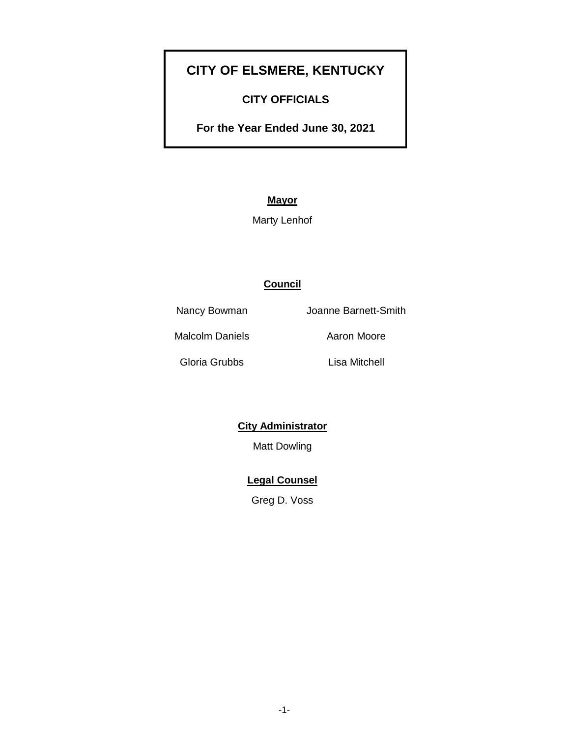# **CITY OF ELSMERE, KENTUCKY**

# **CITY OFFICIALS**

**For the Year Ended June 30, 2021**

**Mayor**

### Marty Lenhof

### **Council**

Nancy Bowman Joanne Barnett-Smith

Malcolm Daniels **Aaron Moore** 

Gloria Grubbs Lisa Mitchell

**City Administrator**

Matt Dowling

**Legal Counsel**

Greg D. Voss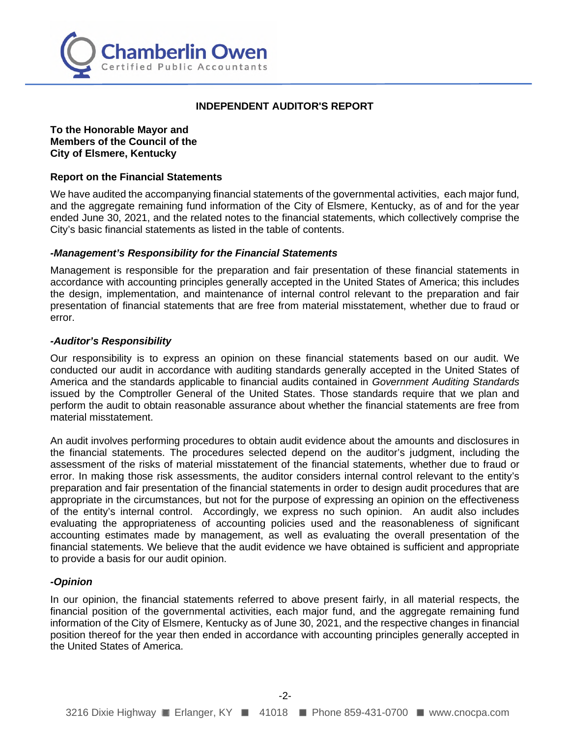

### **INDEPENDENT AUDITOR'S REPORT**

**To the Honorable Mayor and Members of the Council of the City of Elsmere, Kentucky** 

#### **Report on the Financial Statements**

We have audited the accompanying financial statements of the governmental activities, each major fund, and the aggregate remaining fund information of the City of Elsmere, Kentucky, as of and for the year ended June 30, 2021, and the related notes to the financial statements, which collectively comprise the City's basic financial statements as listed in the table of contents.

### *-Management's Responsibility for the Financial Statements*

Management is responsible for the preparation and fair presentation of these financial statements in accordance with accounting principles generally accepted in the United States of America; this includes the design, implementation, and maintenance of internal control relevant to the preparation and fair presentation of financial statements that are free from material misstatement, whether due to fraud or error.

#### *-Auditor's Responsibility*

Our responsibility is to express an opinion on these financial statements based on our audit. We conducted our audit in accordance with auditing standards generally accepted in the United States of America and the standards applicable to financial audits contained in *Government Auditing Standards* issued by the Comptroller General of the United States. Those standards require that we plan and perform the audit to obtain reasonable assurance about whether the financial statements are free from material misstatement.

An audit involves performing procedures to obtain audit evidence about the amounts and disclosures in the financial statements. The procedures selected depend on the auditor's judgment, including the assessment of the risks of material misstatement of the financial statements, whether due to fraud or error. In making those risk assessments, the auditor considers internal control relevant to the entity's preparation and fair presentation of the financial statements in order to design audit procedures that are appropriate in the circumstances, but not for the purpose of expressing an opinion on the effectiveness of the entity's internal control. Accordingly, we express no such opinion. An audit also includes evaluating the appropriateness of accounting policies used and the reasonableness of significant accounting estimates made by management, as well as evaluating the overall presentation of the financial statements. We believe that the audit evidence we have obtained is sufficient and appropriate to provide a basis for our audit opinion.

### *-Opinion*

In our opinion, the financial statements referred to above present fairly, in all material respects, the financial position of the governmental activities, each major fund, and the aggregate remaining fund information of the City of Elsmere, Kentucky as of June 30, 2021, and the respective changes in financial position thereof for the year then ended in accordance with accounting principles generally accepted in the United States of America.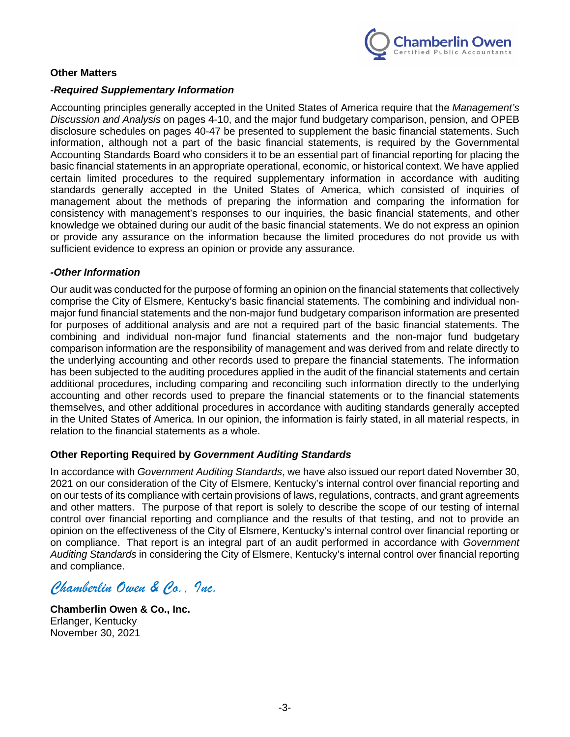

### **Other Matters**

### *-Required Supplementary Information*

Accounting principles generally accepted in the United States of America require that the *Management's Discussion and Analysis* on pages 4-10, and the major fund budgetary comparison, pension, and OPEB disclosure schedules on pages 40-47 be presented to supplement the basic financial statements. Such information, although not a part of the basic financial statements, is required by the Governmental Accounting Standards Board who considers it to be an essential part of financial reporting for placing the basic financial statements in an appropriate operational, economic, or historical context. We have applied certain limited procedures to the required supplementary information in accordance with auditing standards generally accepted in the United States of America, which consisted of inquiries of management about the methods of preparing the information and comparing the information for consistency with management's responses to our inquiries, the basic financial statements, and other knowledge we obtained during our audit of the basic financial statements. We do not express an opinion or provide any assurance on the information because the limited procedures do not provide us with sufficient evidence to express an opinion or provide any assurance.

### *-Other Information*

Our audit was conducted for the purpose of forming an opinion on the financial statements that collectively comprise the City of Elsmere, Kentucky's basic financial statements. The combining and individual nonmajor fund financial statements and the non-major fund budgetary comparison information are presented for purposes of additional analysis and are not a required part of the basic financial statements. The combining and individual non-major fund financial statements and the non-major fund budgetary comparison information are the responsibility of management and was derived from and relate directly to the underlying accounting and other records used to prepare the financial statements. The information has been subjected to the auditing procedures applied in the audit of the financial statements and certain additional procedures, including comparing and reconciling such information directly to the underlying accounting and other records used to prepare the financial statements or to the financial statements themselves, and other additional procedures in accordance with auditing standards generally accepted in the United States of America. In our opinion, the information is fairly stated, in all material respects, in relation to the financial statements as a whole.

### **Other Reporting Required by** *Government Auditing Standards*

In accordance with *Government Auditing Standards*, we have also issued our report dated November 30, 2021 on our consideration of the City of Elsmere, Kentucky's internal control over financial reporting and on our tests of its compliance with certain provisions of laws, regulations, contracts, and grant agreements and other matters. The purpose of that report is solely to describe the scope of our testing of internal control over financial reporting and compliance and the results of that testing, and not to provide an opinion on the effectiveness of the City of Elsmere, Kentucky's internal control over financial reporting or on compliance. That report is an integral part of an audit performed in accordance with *Government Auditing Standards* in considering the City of Elsmere, Kentucky's internal control over financial reporting and compliance.

*Chamberlin Owen & Co., Inc.* 

**Chamberlin Owen & Co., Inc.** Erlanger, Kentucky November 30, 2021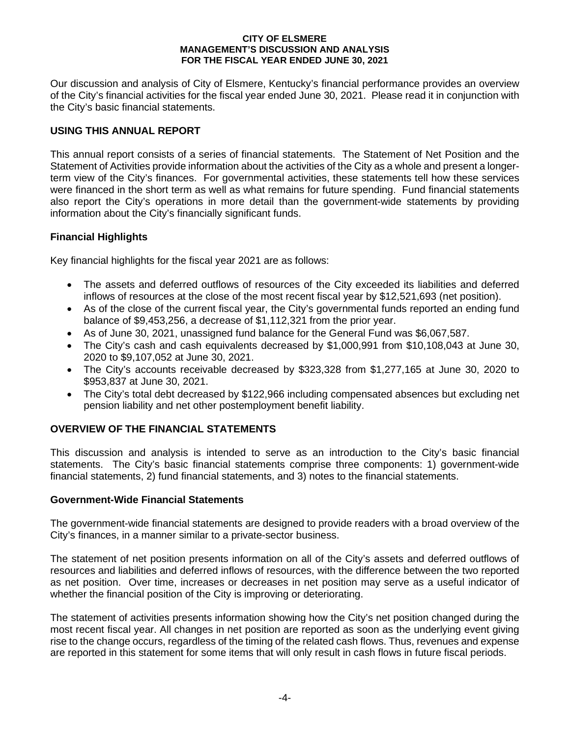Our discussion and analysis of City of Elsmere, Kentucky's financial performance provides an overview of the City's financial activities for the fiscal year ended June 30, 2021. Please read it in conjunction with the City's basic financial statements.

### **USING THIS ANNUAL REPORT**

This annual report consists of a series of financial statements. The Statement of Net Position and the Statement of Activities provide information about the activities of the City as a whole and present a longerterm view of the City's finances. For governmental activities, these statements tell how these services were financed in the short term as well as what remains for future spending. Fund financial statements also report the City's operations in more detail than the government-wide statements by providing information about the City's financially significant funds.

### **Financial Highlights**

Key financial highlights for the fiscal year 2021 are as follows:

- The assets and deferred outflows of resources of the City exceeded its liabilities and deferred inflows of resources at the close of the most recent fiscal year by \$12,521,693 (net position).
- As of the close of the current fiscal year, the City's governmental funds reported an ending fund balance of \$9,453,256, a decrease of \$1,112,321 from the prior year.
- As of June 30, 2021, unassigned fund balance for the General Fund was \$6,067,587.
- The City's cash and cash equivalents decreased by \$1,000,991 from \$10,108,043 at June 30, 2020 to \$9,107,052 at June 30, 2021.
- The City's accounts receivable decreased by \$323,328 from \$1,277,165 at June 30, 2020 to \$953,837 at June 30, 2021.
- The City's total debt decreased by \$122,966 including compensated absences but excluding net pension liability and net other postemployment benefit liability.

### **OVERVIEW OF THE FINANCIAL STATEMENTS**

This discussion and analysis is intended to serve as an introduction to the City's basic financial statements. The City's basic financial statements comprise three components: 1) government-wide financial statements, 2) fund financial statements, and 3) notes to the financial statements.

### **Government-Wide Financial Statements**

The government-wide financial statements are designed to provide readers with a broad overview of the City's finances, in a manner similar to a private-sector business.

The statement of net position presents information on all of the City's assets and deferred outflows of resources and liabilities and deferred inflows of resources, with the difference between the two reported as net position. Over time, increases or decreases in net position may serve as a useful indicator of whether the financial position of the City is improving or deteriorating.

The statement of activities presents information showing how the City's net position changed during the most recent fiscal year. All changes in net position are reported as soon as the underlying event giving rise to the change occurs, regardless of the timing of the related cash flows. Thus, revenues and expense are reported in this statement for some items that will only result in cash flows in future fiscal periods.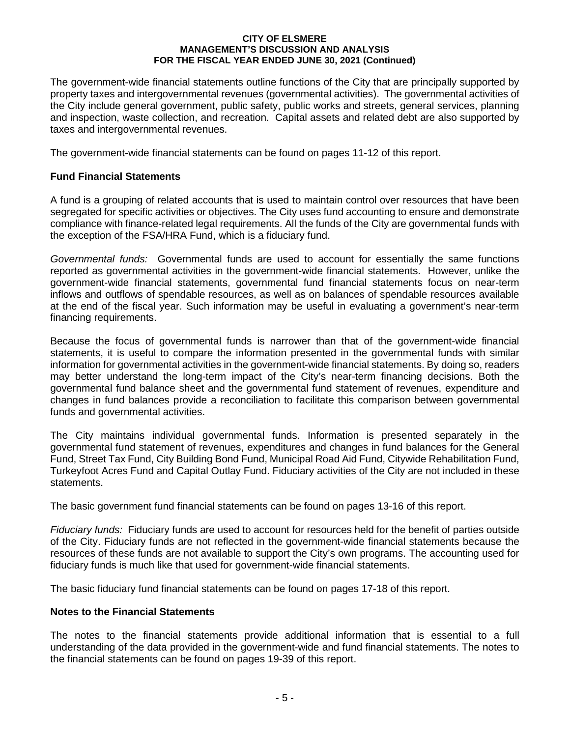The government-wide financial statements outline functions of the City that are principally supported by property taxes and intergovernmental revenues (governmental activities). The governmental activities of the City include general government, public safety, public works and streets, general services, planning and inspection, waste collection, and recreation. Capital assets and related debt are also supported by taxes and intergovernmental revenues.

The government-wide financial statements can be found on pages 11-12 of this report.

### **Fund Financial Statements**

A fund is a grouping of related accounts that is used to maintain control over resources that have been segregated for specific activities or objectives. The City uses fund accounting to ensure and demonstrate compliance with finance-related legal requirements. All the funds of the City are governmental funds with the exception of the FSA/HRA Fund, which is a fiduciary fund.

*Governmental funds:* Governmental funds are used to account for essentially the same functions reported as governmental activities in the government-wide financial statements. However, unlike the government-wide financial statements, governmental fund financial statements focus on near-term inflows and outflows of spendable resources, as well as on balances of spendable resources available at the end of the fiscal year. Such information may be useful in evaluating a government's near-term financing requirements.

Because the focus of governmental funds is narrower than that of the government-wide financial statements, it is useful to compare the information presented in the governmental funds with similar information for governmental activities in the government-wide financial statements. By doing so, readers may better understand the long-term impact of the City's near-term financing decisions. Both the governmental fund balance sheet and the governmental fund statement of revenues, expenditure and changes in fund balances provide a reconciliation to facilitate this comparison between governmental funds and governmental activities.

The City maintains individual governmental funds. Information is presented separately in the governmental fund statement of revenues, expenditures and changes in fund balances for the General Fund, Street Tax Fund, City Building Bond Fund, Municipal Road Aid Fund, Citywide Rehabilitation Fund, Turkeyfoot Acres Fund and Capital Outlay Fund. Fiduciary activities of the City are not included in these statements.

The basic government fund financial statements can be found on pages 13-16 of this report.

*Fiduciary funds:* Fiduciary funds are used to account for resources held for the benefit of parties outside of the City. Fiduciary funds are not reflected in the government-wide financial statements because the resources of these funds are not available to support the City's own programs. The accounting used for fiduciary funds is much like that used for government-wide financial statements.

The basic fiduciary fund financial statements can be found on pages 17-18 of this report.

### **Notes to the Financial Statements**

The notes to the financial statements provide additional information that is essential to a full understanding of the data provided in the government-wide and fund financial statements. The notes to the financial statements can be found on pages 19-39 of this report.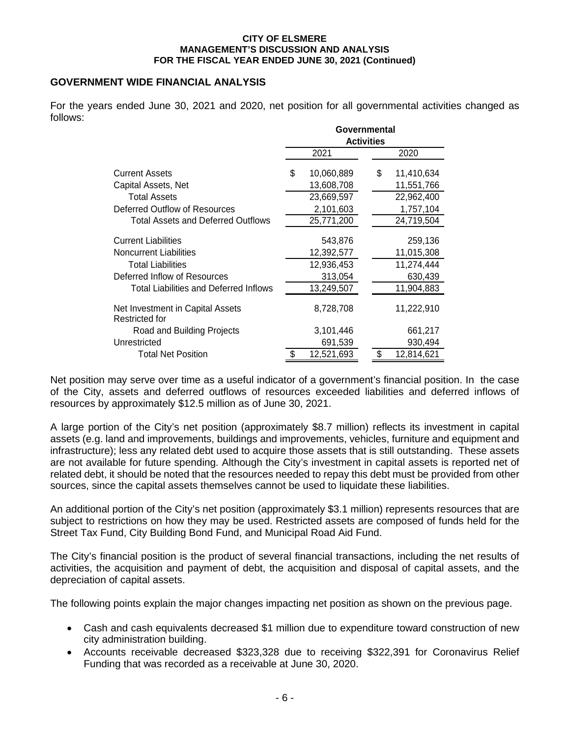### **GOVERNMENT WIDE FINANCIAL ANALYSIS**

For the years ended June 30, 2021 and 2020, net position for all governmental activities changed as follows:

|                                                    | Governmental      |            |  |    |            |  |
|----------------------------------------------------|-------------------|------------|--|----|------------|--|
|                                                    | <b>Activities</b> |            |  |    |            |  |
|                                                    |                   | 2021       |  |    | 2020       |  |
| <b>Current Assets</b>                              | \$                | 10,060,889 |  | \$ | 11,410,634 |  |
| Capital Assets, Net                                |                   | 13,608,708 |  |    | 11,551,766 |  |
| <b>Total Assets</b>                                |                   | 23,669,597 |  |    | 22,962,400 |  |
| Deferred Outflow of Resources                      |                   | 2,101,603  |  |    | 1,757,104  |  |
| <b>Total Assets and Deferred Outflows</b>          |                   | 25,771,200 |  |    | 24,719,504 |  |
| <b>Current Liabilities</b>                         |                   | 543,876    |  |    | 259,136    |  |
| <b>Noncurrent Liabilities</b>                      |                   | 12,392,577 |  |    | 11,015,308 |  |
| <b>Total Liabilities</b>                           |                   | 12,936,453 |  |    | 11,274,444 |  |
| Deferred Inflow of Resources                       |                   | 313,054    |  |    | 630,439    |  |
| <b>Total Liabilities and Deferred Inflows</b>      |                   | 13,249,507 |  |    | 11,904,883 |  |
| Net Investment in Capital Assets<br>Restricted for |                   | 8,728,708  |  |    | 11,222,910 |  |
| Road and Building Projects                         |                   | 3,101,446  |  |    | 661,217    |  |
| Unrestricted                                       |                   | 691,539    |  |    | 930,494    |  |
| <b>Total Net Position</b>                          | S                 | 12,521,693 |  | S  | 12,814,621 |  |

Net position may serve over time as a useful indicator of a government's financial position. In the case of the City, assets and deferred outflows of resources exceeded liabilities and deferred inflows of resources by approximately \$12.5 million as of June 30, 2021.

A large portion of the City's net position (approximately \$8.7 million) reflects its investment in capital assets (e.g. land and improvements, buildings and improvements, vehicles, furniture and equipment and infrastructure); less any related debt used to acquire those assets that is still outstanding. These assets are not available for future spending. Although the City's investment in capital assets is reported net of related debt, it should be noted that the resources needed to repay this debt must be provided from other sources, since the capital assets themselves cannot be used to liquidate these liabilities.

An additional portion of the City's net position (approximately \$3.1 million) represents resources that are subject to restrictions on how they may be used. Restricted assets are composed of funds held for the Street Tax Fund, City Building Bond Fund, and Municipal Road Aid Fund.

The City's financial position is the product of several financial transactions, including the net results of activities, the acquisition and payment of debt, the acquisition and disposal of capital assets, and the depreciation of capital assets.

The following points explain the major changes impacting net position as shown on the previous page.

- Cash and cash equivalents decreased \$1 million due to expenditure toward construction of new city administration building.
- Accounts receivable decreased \$323,328 due to receiving \$322,391 for Coronavirus Relief Funding that was recorded as a receivable at June 30, 2020.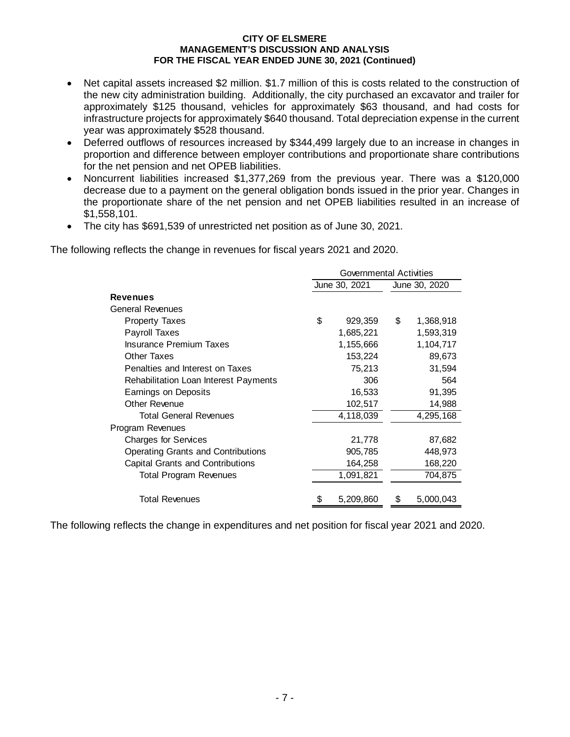- Net capital assets increased \$2 million. \$1.7 million of this is costs related to the construction of the new city administration building. Additionally, the city purchased an excavator and trailer for approximately \$125 thousand, vehicles for approximately \$63 thousand, and had costs for infrastructure projects for approximately \$640 thousand. Total depreciation expense in the current year was approximately \$528 thousand.
- Deferred outflows of resources increased by \$344,499 largely due to an increase in changes in proportion and difference between employer contributions and proportionate share contributions for the net pension and net OPEB liabilities.
- Noncurrent liabilities increased \$1,377,269 from the previous year. There was a \$120,000 decrease due to a payment on the general obligation bonds issued in the prior year. Changes in the proportionate share of the net pension and net OPEB liabilities resulted in an increase of \$1,558,101.
- The city has \$691,539 of unrestricted net position as of June 30, 2021.

The following reflects the change in revenues for fiscal years 2021 and 2020.

|                                           | Governmental Activities |               |               |           |  |
|-------------------------------------------|-------------------------|---------------|---------------|-----------|--|
|                                           |                         | June 30, 2021 | June 30, 2020 |           |  |
| <b>Revenues</b>                           |                         |               |               |           |  |
| <b>General Revenues</b>                   |                         |               |               |           |  |
| <b>Property Taxes</b>                     | \$                      | 929,359       | \$            | 1,368,918 |  |
| Payroll Taxes                             |                         | 1,685,221     |               | 1,593,319 |  |
| Insurance Premium Taxes                   |                         | 1,155,666     |               | 1,104,717 |  |
| Other Taxes                               |                         | 153,224       |               | 89,673    |  |
| Penalties and Interest on Taxes           |                         | 75,213        |               | 31,594    |  |
| Rehabilitation Loan Interest Payments     |                         | 306           |               | 564       |  |
| Earnings on Deposits                      |                         | 16,533        |               | 91,395    |  |
| Other Revenue                             |                         | 102,517       |               | 14,988    |  |
| <b>Total General Revenues</b>             |                         | 4,118,039     |               | 4,295,168 |  |
| Program Revenues                          |                         |               |               |           |  |
| <b>Charges for Services</b>               |                         | 21,778        |               | 87,682    |  |
| <b>Operating Grants and Contributions</b> |                         | 905,785       |               | 448,973   |  |
| <b>Capital Grants and Contributions</b>   |                         | 164,258       |               | 168,220   |  |
| Total Program Revenues                    |                         | 1,091,821     |               | 704,875   |  |
|                                           |                         |               |               |           |  |
| <b>Total Revenues</b>                     |                         | 5,209,860     | S             | 5,000,043 |  |

The following reflects the change in expenditures and net position for fiscal year 2021 and 2020.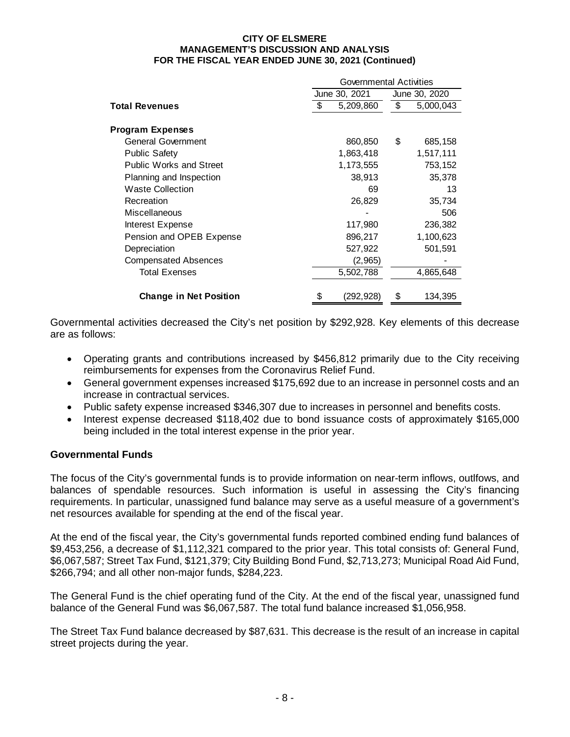|                                | Governmental Activities |           |    |               |  |  |
|--------------------------------|-------------------------|-----------|----|---------------|--|--|
|                                | June 30, 2021           |           |    | June 30, 2020 |  |  |
| Total Revenues                 |                         | 5,209,860 | \$ | 5,000,043     |  |  |
| Program Expenses               |                         |           |    |               |  |  |
| <b>General Government</b>      |                         | 860,850   | \$ | 685,158       |  |  |
| <b>Public Safety</b>           |                         | 1,863,418 |    | 1,517,111     |  |  |
| <b>Public Works and Street</b> |                         | 1,173,555 |    | 753,152       |  |  |
| Planning and Inspection        |                         | 38,913    |    | 35,378        |  |  |
| <b>Waste Collection</b>        |                         | 69        |    | 13            |  |  |
| Recreation                     |                         | 26,829    |    | 35,734        |  |  |
| Miscellaneous                  |                         |           |    | 506           |  |  |
| Interest Expense               |                         | 117,980   |    | 236,382       |  |  |
| Pension and OPEB Expense       |                         | 896,217   |    | 1,100,623     |  |  |
| Depreciation                   |                         | 527,922   |    | 501,591       |  |  |
| <b>Compensated Absences</b>    |                         | (2,965)   |    |               |  |  |
| <b>Total Exenses</b>           |                         | 5,502,788 |    | 4,865,648     |  |  |
| <b>Change in Net Position</b>  | \$                      | (292,928) | \$ | 134,395       |  |  |

Governmental activities decreased the City's net position by \$292,928. Key elements of this decrease are as follows:

- Operating grants and contributions increased by \$456,812 primarily due to the City receiving reimbursements for expenses from the Coronavirus Relief Fund.
- General government expenses increased \$175,692 due to an increase in personnel costs and an increase in contractual services.
- Public safety expense increased \$346,307 due to increases in personnel and benefits costs.
- Interest expense decreased \$118,402 due to bond issuance costs of approximately \$165,000 being included in the total interest expense in the prior year.

### **Governmental Funds**

The focus of the City's governmental funds is to provide information on near-term inflows, outlfows, and balances of spendable resources. Such information is useful in assessing the City's financing requirements. In particular, unassigned fund balance may serve as a useful measure of a government's net resources available for spending at the end of the fiscal year.

At the end of the fiscal year, the City's governmental funds reported combined ending fund balances of \$9,453,256, a decrease of \$1,112,321 compared to the prior year. This total consists of: General Fund, \$6,067,587; Street Tax Fund, \$121,379; City Building Bond Fund, \$2,713,273; Municipal Road Aid Fund, \$266,794; and all other non-major funds, \$284,223.

The General Fund is the chief operating fund of the City. At the end of the fiscal year, unassigned fund balance of the General Fund was \$6,067,587. The total fund balance increased \$1,056,958.

The Street Tax Fund balance decreased by \$87,631. This decrease is the result of an increase in capital street projects during the year.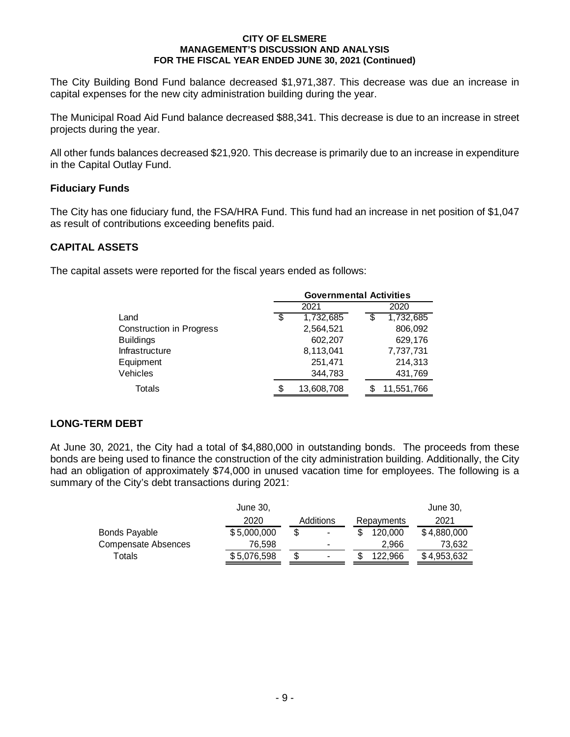The City Building Bond Fund balance decreased \$1,971,387. This decrease was due an increase in capital expenses for the new city administration building during the year.

The Municipal Road Aid Fund balance decreased \$88,341. This decrease is due to an increase in street projects during the year.

All other funds balances decreased \$21,920. This decrease is primarily due to an increase in expenditure in the Capital Outlay Fund.

### **Fiduciary Funds**

The City has one fiduciary fund, the FSA/HRA Fund. This fund had an increase in net position of \$1,047 as result of contributions exceeding benefits paid.

### **CAPITAL ASSETS**

The capital assets were reported for the fiscal years ended as follows:

|                                 |    | <b>Governmental Activities</b> |    |            |  |  |
|---------------------------------|----|--------------------------------|----|------------|--|--|
|                                 |    | 2021                           |    | 2020       |  |  |
| Land                            | \$ | 1,732,685                      | \$ | 1,732,685  |  |  |
| <b>Construction in Progress</b> |    | 2,564,521                      |    | 806,092    |  |  |
| <b>Buildings</b>                |    | 602,207                        |    | 629,176    |  |  |
| <b>Infrastructure</b>           |    | 8,113,041                      |    | 7,737,731  |  |  |
| Equipment                       |    | 251,471                        |    | 214,313    |  |  |
| Vehicles                        |    | 344,783                        |    | 431,769    |  |  |
| Totals                          | S  | 13,608,708                     |    | 11,551,766 |  |  |

### **LONG-TERM DEBT**

At June 30, 2021, the City had a total of \$4,880,000 in outstanding bonds. The proceeds from these bonds are being used to finance the construction of the city administration building. Additionally, the City had an obligation of approximately \$74,000 in unused vacation time for employees. The following is a summary of the City's debt transactions during 2021:

|                     | June 30,    |           |            | June 30,    |
|---------------------|-------------|-----------|------------|-------------|
|                     | 2020        | Additions | Repayments | 2021        |
| Bonds Payable       | \$5,000,000 | ۰         | 120.000    | \$4,880,000 |
| Compensate Absences | 76.598      | -         | 2.966      | 73.632      |
| Totals              | \$5.076.598 | ۰         | 122.966    | \$4.953.632 |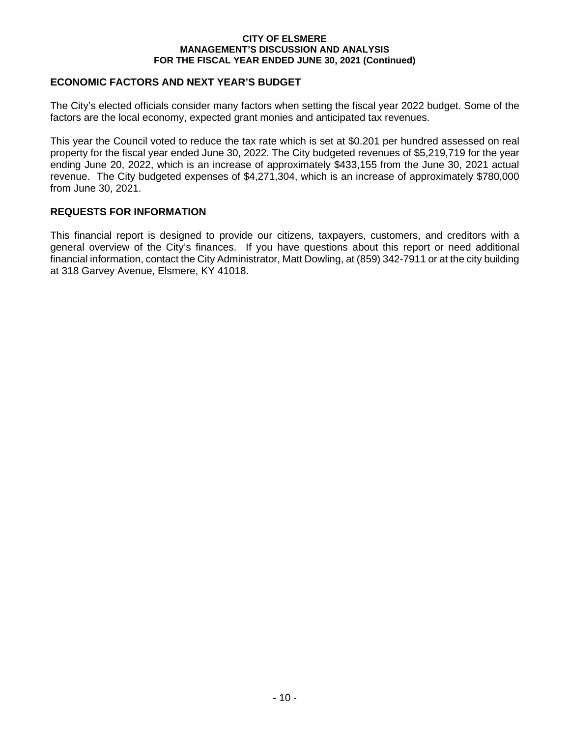### **ECONOMIC FACTORS AND NEXT YEAR'S BUDGET**

The City's elected officials consider many factors when setting the fiscal year 2022 budget. Some of the factors are the local economy, expected grant monies and anticipated tax revenues.

This year the Council voted to reduce the tax rate which is set at \$0.201 per hundred assessed on real property for the fiscal year ended June 30, 2022. The City budgeted revenues of \$5,219,719 for the year ending June 20, 2022, which is an increase of approximately \$433,155 from the June 30, 2021 actual revenue. The City budgeted expenses of \$4,271,304, which is an increase of approximately \$780,000 from June 30, 2021.

### **REQUESTS FOR INFORMATION**

This financial report is designed to provide our citizens, taxpayers, customers, and creditors with a general overview of the City's finances. If you have questions about this report or need additional financial information, contact the City Administrator, Matt Dowling, at (859) 342-7911 or at the city building at 318 Garvey Avenue, Elsmere, KY 41018.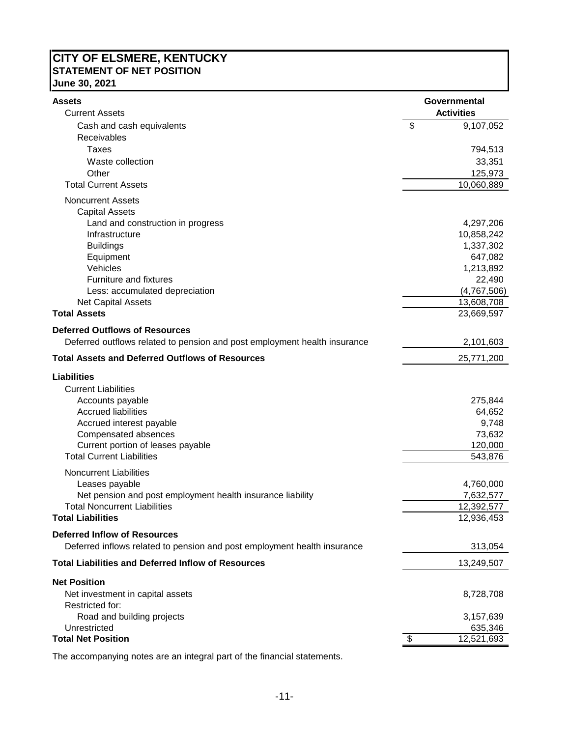### **CITY OF ELSMERE, KENTUCKY STATEMENT OF NET POSITION June 30, 2021**

| <b>Assets</b>                                                             | Governmental      |
|---------------------------------------------------------------------------|-------------------|
| <b>Current Assets</b>                                                     | <b>Activities</b> |
| Cash and cash equivalents                                                 | \$<br>9,107,052   |
| Receivables                                                               |                   |
| Taxes                                                                     | 794,513           |
| Waste collection                                                          | 33,351            |
| Other                                                                     | 125,973           |
| <b>Total Current Assets</b>                                               | 10,060,889        |
| <b>Noncurrent Assets</b>                                                  |                   |
| <b>Capital Assets</b>                                                     |                   |
| Land and construction in progress                                         | 4,297,206         |
| Infrastructure                                                            | 10,858,242        |
| <b>Buildings</b>                                                          | 1,337,302         |
| Equipment                                                                 | 647,082           |
| Vehicles                                                                  | 1,213,892         |
| Furniture and fixtures                                                    | 22,490            |
| Less: accumulated depreciation                                            | (4,767,506)       |
| <b>Net Capital Assets</b>                                                 | 13,608,708        |
| <b>Total Assets</b>                                                       | 23,669,597        |
| <b>Deferred Outflows of Resources</b>                                     |                   |
| Deferred outflows related to pension and post employment health insurance | 2,101,603         |
| <b>Total Assets and Deferred Outflows of Resources</b>                    | 25,771,200        |
| <b>Liabilities</b>                                                        |                   |
| <b>Current Liabilities</b>                                                |                   |
| Accounts payable                                                          | 275,844           |
| <b>Accrued liabilities</b>                                                | 64,652            |
| Accrued interest payable                                                  | 9,748             |
| Compensated absences                                                      | 73,632            |
| Current portion of leases payable                                         | 120,000           |
| <b>Total Current Liabilities</b>                                          | 543,876           |
| <b>Noncurrent Liabilities</b>                                             |                   |
| Leases payable                                                            | 4,760,000         |
| Net pension and post employment health insurance liability                | 7,632,577         |
| <b>Total Noncurrent Liabilities</b>                                       | 12,392,577        |
| <b>Total Liabilities</b>                                                  | 12,936,453        |
| <b>Deferred Inflow of Resources</b>                                       |                   |
| Deferred inflows related to pension and post employment health insurance  | 313,054           |
| <b>Total Liabilities and Deferred Inflow of Resources</b>                 | 13,249,507        |
| <b>Net Position</b>                                                       |                   |
| Net investment in capital assets                                          | 8,728,708         |
| Restricted for:                                                           |                   |
| Road and building projects                                                | 3,157,639         |
| Unrestricted                                                              | 635,346           |
| <b>Total Net Position</b>                                                 | \$<br>12,521,693  |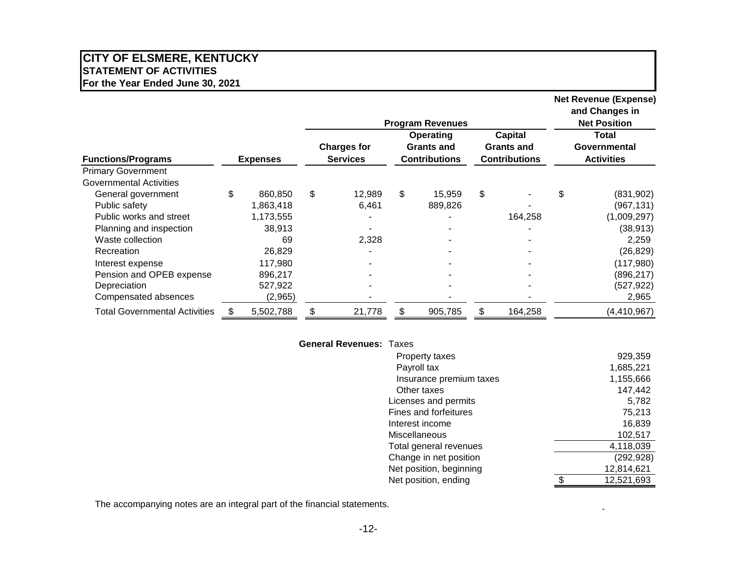### **CITY OF ELSMERE, KENTUCKY STATEMENT OF ACTIVITIES For the Year Ended June 30, 2021**

|                                      |    |                 |                                       |        |                                                        | <b>Program Revenues</b> |                                                             |         |                                            | <b>Net Revenue (Expense)</b><br>and Changes in<br><b>Net Position</b> |
|--------------------------------------|----|-----------------|---------------------------------------|--------|--------------------------------------------------------|-------------------------|-------------------------------------------------------------|---------|--------------------------------------------|-----------------------------------------------------------------------|
| <b>Functions/Programs</b>            |    | <b>Expenses</b> | <b>Charges for</b><br><b>Services</b> |        | Operating<br><b>Grants and</b><br><b>Contributions</b> |                         | <b>Capital</b><br><b>Grants and</b><br><b>Contributions</b> |         | Total<br>Governmental<br><b>Activities</b> |                                                                       |
| <b>Primary Government</b>            |    |                 |                                       |        |                                                        |                         |                                                             |         |                                            |                                                                       |
| <b>Governmental Activities</b>       |    |                 |                                       |        |                                                        |                         |                                                             |         |                                            |                                                                       |
| General government                   | \$ | 860,850         | \$                                    | 12,989 | \$                                                     | 15,959                  | \$                                                          |         | \$                                         | (831,902)                                                             |
| Public safety                        |    | 1,863,418       |                                       | 6,461  |                                                        | 889,826                 |                                                             |         |                                            | (967, 131)                                                            |
| Public works and street              |    | 1,173,555       |                                       |        |                                                        |                         |                                                             | 164,258 |                                            | (1,009,297)                                                           |
| Planning and inspection              |    | 38,913          |                                       |        |                                                        |                         |                                                             |         |                                            | (38, 913)                                                             |
| Waste collection                     |    | 69              |                                       | 2,328  |                                                        |                         |                                                             |         |                                            | 2,259                                                                 |
| Recreation                           |    | 26,829          |                                       |        |                                                        |                         |                                                             |         |                                            | (26, 829)                                                             |
| Interest expense                     |    | 117,980         |                                       |        |                                                        |                         |                                                             |         |                                            | (117,980)                                                             |
| Pension and OPEB expense             |    | 896,217         |                                       |        |                                                        |                         |                                                             |         |                                            | (896, 217)                                                            |
| Depreciation                         |    | 527,922         |                                       |        |                                                        |                         |                                                             |         |                                            | (527, 922)                                                            |
| Compensated absences                 |    | (2,965)         |                                       |        |                                                        |                         |                                                             |         |                                            | 2,965                                                                 |
| <b>Total Governmental Activities</b> | S  | 5,502,788       | \$                                    | 21,778 | \$                                                     | 905,785                 | \$                                                          | 164,258 |                                            | (4, 410, 967)                                                         |

### **General Revenues:** Taxes

| Property taxes          | 929,359    |
|-------------------------|------------|
| Payroll tax             | 1,685,221  |
| Insurance premium taxes | 1,155,666  |
| Other taxes             | 147,442    |
| Licenses and permits    | 5,782      |
| Fines and forfeitures   | 75,213     |
| Interest income         | 16,839     |
| <b>Miscellaneous</b>    | 102,517    |
| Total general revenues  | 4,118,039  |
| Change in net position  | (292, 928) |
| Net position, beginning | 12,814,621 |
| Net position, ending    | 12,521,693 |

 $\mathbf{A}^{\pm}$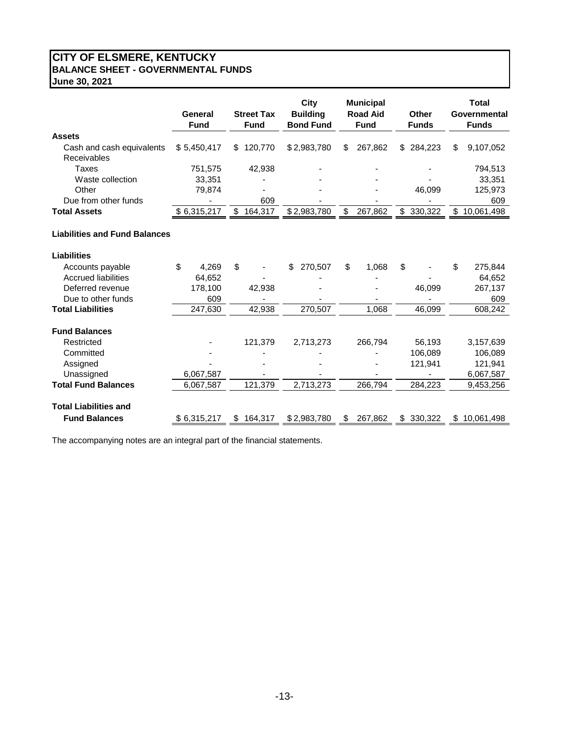### **CITY OF ELSMERE, KENTUCKY BALANCE SHEET - GOVERNMENTAL FUNDS June 30, 2021**

|                                          | General<br><b>Fund</b> | <b>Street Tax</b><br><b>Fund</b> | City<br><b>Building</b><br><b>Bond Fund</b> | <b>Municipal</b><br><b>Road Aid</b><br><b>Fund</b> | Other<br><b>Funds</b> | <b>Total</b><br>Governmental<br><b>Funds</b> |
|------------------------------------------|------------------------|----------------------------------|---------------------------------------------|----------------------------------------------------|-----------------------|----------------------------------------------|
| <b>Assets</b>                            |                        |                                  |                                             |                                                    |                       |                                              |
| Cash and cash equivalents<br>Receivables | \$5,450,417            | 120,770<br>S.                    | \$2,983,780                                 | 267,862<br>\$                                      | 284,223<br>\$         | 9,107,052<br>\$                              |
| Taxes                                    | 751,575                | 42,938                           |                                             |                                                    |                       | 794,513                                      |
| Waste collection                         | 33,351                 |                                  |                                             |                                                    |                       | 33,351                                       |
| Other                                    | 79,874                 |                                  |                                             |                                                    | 46,099                | 125,973                                      |
| Due from other funds                     |                        | 609                              |                                             |                                                    |                       | 609                                          |
| <b>Total Assets</b>                      | \$6,315,217            | 164,317<br>\$                    | \$2,983,780                                 | \$<br>267,862                                      | \$<br>330,322         | \$<br>10,061,498                             |
| <b>Liabilities and Fund Balances</b>     |                        |                                  |                                             |                                                    |                       |                                              |
| <b>Liabilities</b>                       |                        |                                  |                                             |                                                    |                       |                                              |
| Accounts payable                         | \$<br>4.269            | \$                               | \$<br>270,507                               | \$<br>1,068                                        | \$                    | \$<br>275,844                                |
| <b>Accrued liabilities</b>               | 64,652                 |                                  |                                             |                                                    |                       | 64,652                                       |
| Deferred revenue                         | 178,100                | 42,938                           |                                             |                                                    | 46,099                | 267,137                                      |
| Due to other funds                       | 609                    |                                  |                                             |                                                    |                       | 609                                          |
| <b>Total Liabilities</b>                 | 247,630                | 42,938                           | 270,507                                     | 1,068                                              | 46,099                | 608,242                                      |
| <b>Fund Balances</b>                     |                        |                                  |                                             |                                                    |                       |                                              |
| Restricted                               |                        | 121,379                          | 2,713,273                                   | 266,794                                            | 56,193                | 3,157,639                                    |
| Committed                                |                        |                                  |                                             |                                                    | 106,089               | 106,089                                      |
| Assigned                                 |                        |                                  |                                             |                                                    | 121,941               | 121,941                                      |
| Unassigned                               | 6,067,587              |                                  |                                             |                                                    |                       | 6,067,587                                    |
| <b>Total Fund Balances</b>               | 6,067,587              | 121,379                          | 2,713,273                                   | 266,794                                            | 284,223               | 9,453,256                                    |
| <b>Total Liabilities and</b>             |                        |                                  |                                             |                                                    |                       |                                              |
| <b>Fund Balances</b>                     | \$6,315,217            | 164,317<br>S                     | \$2,983,780                                 | 267,862<br>S                                       | 330,322<br>S.         | 10,061,498<br>S                              |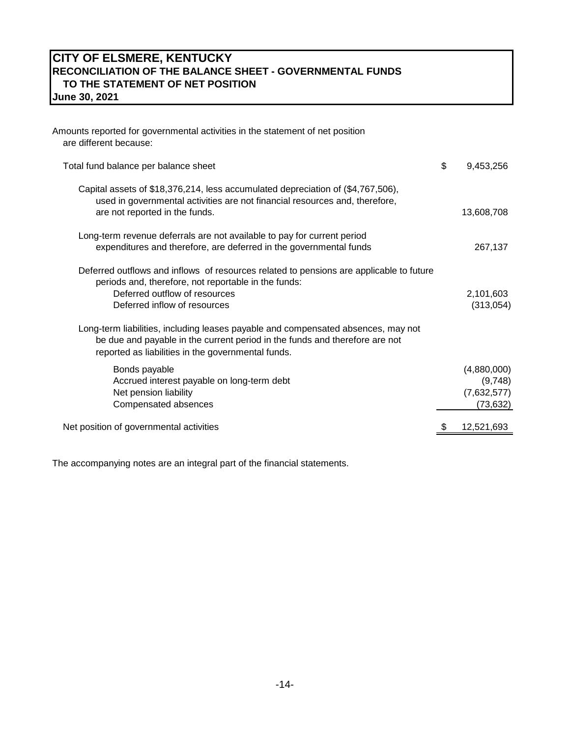### **RECONCILIATION OF THE BALANCE SHEET - GOVERNMENTAL FUNDS TO THE STATEMENT OF NET POSITION CITY OF ELSMERE, KENTUCKY June 30, 2021**

| \$<br>Total fund balance per balance sheet                                                                                                                                                                             | 9,453,256               |
|------------------------------------------------------------------------------------------------------------------------------------------------------------------------------------------------------------------------|-------------------------|
|                                                                                                                                                                                                                        |                         |
| Capital assets of \$18,376,214, less accumulated depreciation of (\$4,767,506),<br>used in governmental activities are not financial resources and, therefore,<br>are not reported in the funds.                       | 13,608,708              |
| Long-term revenue deferrals are not available to pay for current period<br>expenditures and therefore, are deferred in the governmental funds                                                                          | 267,137                 |
| Deferred outflows and inflows of resources related to pensions are applicable to future<br>periods and, therefore, not reportable in the funds:                                                                        |                         |
| Deferred outflow of resources<br>Deferred inflow of resources                                                                                                                                                          | 2,101,603<br>(313,054)  |
| Long-term liabilities, including leases payable and compensated absences, may not<br>be due and payable in the current period in the funds and therefore are not<br>reported as liabilities in the governmental funds. |                         |
| Bonds payable                                                                                                                                                                                                          | (4,880,000)             |
| Accrued interest payable on long-term debt                                                                                                                                                                             | (9,748)                 |
| Net pension liability<br>Compensated absences                                                                                                                                                                          | (7,632,577)<br>(73,632) |
|                                                                                                                                                                                                                        |                         |
| Net position of governmental activities                                                                                                                                                                                | 12,521,693              |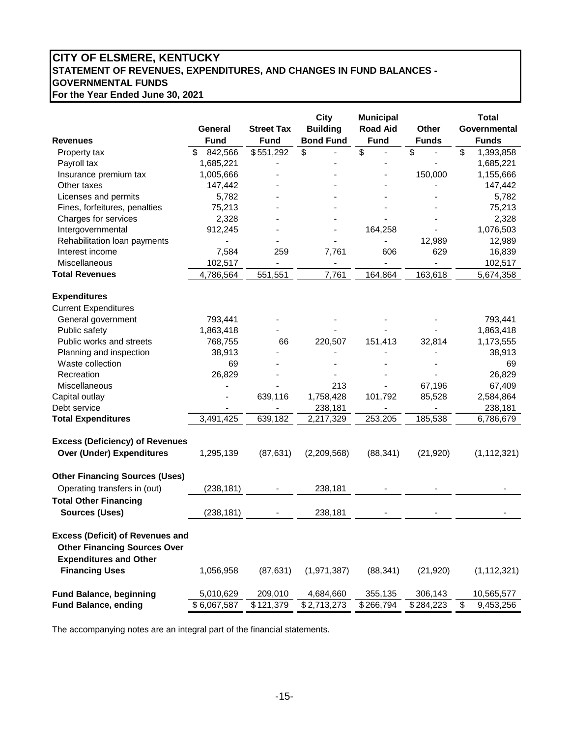### **CITY OF ELSMERE, KENTUCKY STATEMENT OF REVENUES, EXPENDITURES, AND CHANGES IN FUND BALANCES - GOVERNMENTAL FUNDS For the Year Ended June 30, 2021**

|                                                                                                                 |              |                   | <b>City</b>                     | <b>Municipal</b> |              | <b>Total</b>    |
|-----------------------------------------------------------------------------------------------------------------|--------------|-------------------|---------------------------------|------------------|--------------|-----------------|
|                                                                                                                 | General      | <b>Street Tax</b> | <b>Building</b>                 | <b>Road Aid</b>  |              | Governmental    |
| <b>Revenues</b>                                                                                                 | <b>Fund</b>  | <b>Fund</b>       | <b>Bond Fund</b><br><b>Fund</b> |                  | <b>Funds</b> | <b>Funds</b>    |
| Property tax                                                                                                    | 842,566<br>S | \$551,292         | \$                              | \$               | \$           | \$<br>1,393,858 |
| Payroll tax                                                                                                     | 1,685,221    |                   |                                 |                  |              | 1,685,221       |
| Insurance premium tax                                                                                           | 1,005,666    |                   |                                 |                  | 150,000      | 1,155,666       |
| Other taxes                                                                                                     | 147,442      |                   |                                 |                  |              | 147,442         |
| Licenses and permits                                                                                            | 5,782        |                   |                                 |                  |              | 5,782           |
| Fines, forfeitures, penalties                                                                                   | 75,213       |                   |                                 |                  |              | 75,213          |
| Charges for services                                                                                            | 2,328        |                   |                                 |                  |              | 2,328           |
| Intergovernmental                                                                                               | 912,245      |                   |                                 | 164,258          |              | 1,076,503       |
| Rehabilitation loan payments                                                                                    |              |                   |                                 |                  | 12,989       | 12,989          |
| Interest income                                                                                                 | 7,584        | 259               | 7,761                           | 606              | 629          | 16,839          |
| Miscellaneous                                                                                                   | 102,517      |                   |                                 |                  |              | 102,517         |
| <b>Total Revenues</b>                                                                                           | 4,786,564    | 551,551           | 7,761                           | 164,864          | 163,618      | 5,674,358       |
| <b>Expenditures</b>                                                                                             |              |                   |                                 |                  |              |                 |
| <b>Current Expenditures</b>                                                                                     |              |                   |                                 |                  |              |                 |
| General government                                                                                              | 793,441      |                   |                                 |                  |              | 793,441         |
| Public safety                                                                                                   | 1,863,418    |                   |                                 |                  |              | 1,863,418       |
| Public works and streets                                                                                        | 768,755      | 66                | 220,507                         | 151,413          | 32,814       | 1,173,555       |
| Planning and inspection                                                                                         | 38,913       |                   |                                 |                  |              | 38,913          |
| Waste collection                                                                                                | 69           |                   |                                 |                  |              | 69              |
| Recreation                                                                                                      | 26,829       |                   |                                 |                  |              | 26,829          |
| Miscellaneous                                                                                                   |              |                   | 213                             |                  | 67,196       | 67,409          |
| Capital outlay                                                                                                  |              | 639,116           | 1,758,428                       | 101,792          | 85,528       | 2,584,864       |
| Debt service                                                                                                    |              |                   | 238,181                         |                  |              | 238,181         |
| <b>Total Expenditures</b>                                                                                       | 3,491,425    | 639,182           | 2,217,329                       | 253,205          | 185,538      | 6,786,679       |
| <b>Excess (Deficiency) of Revenues</b>                                                                          |              |                   |                                 |                  |              |                 |
| <b>Over (Under) Expenditures</b>                                                                                | 1,295,139    | (87, 631)         | (2,209,568)                     | (88, 341)        | (21, 920)    | (1, 112, 321)   |
| <b>Other Financing Sources (Uses)</b>                                                                           |              |                   |                                 |                  |              |                 |
| Operating transfers in (out)                                                                                    | (238, 181)   |                   | 238,181                         |                  |              |                 |
| <b>Total Other Financing</b>                                                                                    |              |                   |                                 |                  |              |                 |
| <b>Sources (Uses)</b>                                                                                           | (238, 181)   |                   | 238,181                         |                  |              |                 |
| <b>Excess (Deficit) of Revenues and</b><br><b>Other Financing Sources Over</b><br><b>Expenditures and Other</b> |              |                   |                                 |                  |              |                 |
| <b>Financing Uses</b>                                                                                           | 1,056,958    | (87, 631)         | (1,971,387)                     | (88, 341)        | (21, 920)    | (1, 112, 321)   |
| <b>Fund Balance, beginning</b>                                                                                  | 5,010,629    | 209,010           | 4,684,660                       | 355,135          | 306,143      | 10,565,577      |
| <b>Fund Balance, ending</b>                                                                                     | \$6,067,587  | \$121,379         | \$2,713,273                     | \$266,794        | \$284,223    | \$<br>9,453,256 |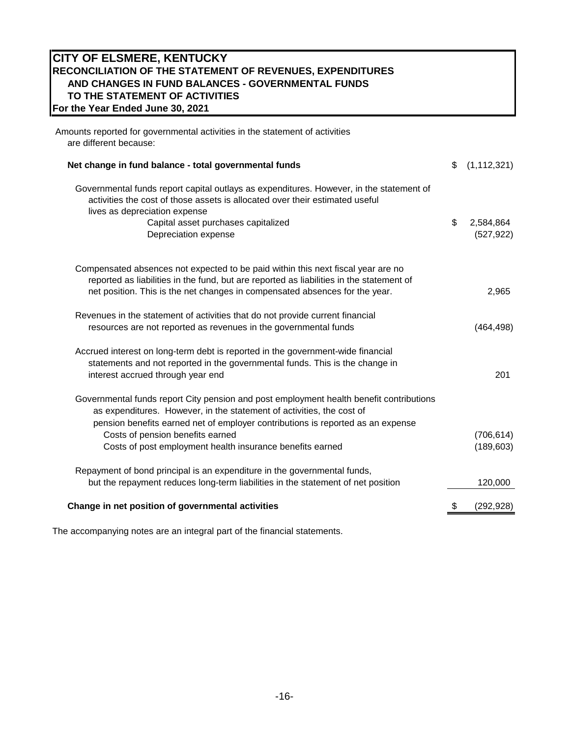### **CITY OF ELSMERE, KENTUCKY RECONCILIATION OF THE STATEMENT OF REVENUES, EXPENDITURES AND CHANGES IN FUND BALANCES - GOVERNMENTAL FUNDS TO THE STATEMENT OF ACTIVITIES For the Year Ended June 30, 2021**

| Amounts reported for governmental activities in the statement of activities<br>are different because:                                                                                                                                                       |                     |
|-------------------------------------------------------------------------------------------------------------------------------------------------------------------------------------------------------------------------------------------------------------|---------------------|
| Net change in fund balance - total governmental funds                                                                                                                                                                                                       | \$<br>(1, 112, 321) |
| Governmental funds report capital outlays as expenditures. However, in the statement of<br>activities the cost of those assets is allocated over their estimated useful<br>lives as depreciation expense                                                    |                     |
| Capital asset purchases capitalized                                                                                                                                                                                                                         | \$<br>2,584,864     |
| Depreciation expense                                                                                                                                                                                                                                        | (527, 922)          |
| Compensated absences not expected to be paid within this next fiscal year are no<br>reported as liabilities in the fund, but are reported as liabilities in the statement of<br>net position. This is the net changes in compensated absences for the year. | 2,965               |
|                                                                                                                                                                                                                                                             |                     |
| Revenues in the statement of activities that do not provide current financial<br>resources are not reported as revenues in the governmental funds                                                                                                           | (464, 498)          |
| Accrued interest on long-term debt is reported in the government-wide financial<br>statements and not reported in the governmental funds. This is the change in<br>interest accrued through year end                                                        | 201                 |
| Governmental funds report City pension and post employment health benefit contributions<br>as expenditures. However, in the statement of activities, the cost of<br>pension benefits earned net of employer contributions is reported as an expense         |                     |
| Costs of pension benefits earned                                                                                                                                                                                                                            | (706, 614)          |
| Costs of post employment health insurance benefits earned                                                                                                                                                                                                   | (189, 603)          |
| Repayment of bond principal is an expenditure in the governmental funds,                                                                                                                                                                                    |                     |
| but the repayment reduces long-term liabilities in the statement of net position                                                                                                                                                                            | 120,000             |
| Change in net position of governmental activities                                                                                                                                                                                                           | \$<br>(292, 928)    |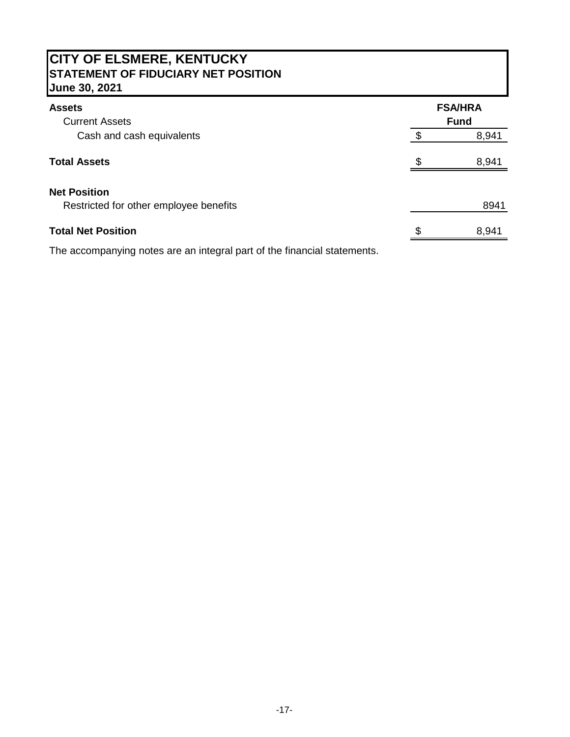# **CITY OF ELSMERE, KENTUCKY STATEMENT OF FIDUCIARY NET POSITION June 30, 2021**

| <b>Assets</b><br><b>Current Assets</b> |     | <b>FSA/HRA</b><br><b>Fund</b> |
|----------------------------------------|-----|-------------------------------|
| Cash and cash equivalents              |     | 8,941                         |
| <b>Total Assets</b>                    | \$. | 8,941                         |
| <b>Net Position</b>                    |     |                               |
| Restricted for other employee benefits |     | 8941                          |
| <b>Total Net Position</b>              |     | 8,941                         |
|                                        |     |                               |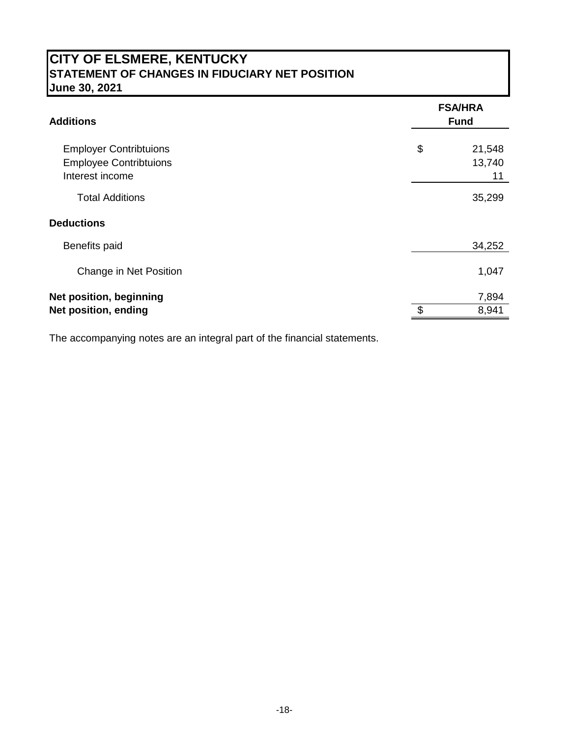# **CITY OF ELSMERE, KENTUCKY STATEMENT OF CHANGES IN FIDUCIARY NET POSITION June 30, 2021**

| <b>Additions</b>                                                                  | <b>FSA/HRA</b><br><b>Fund</b> |  |  |
|-----------------------------------------------------------------------------------|-------------------------------|--|--|
| <b>Employer Contribtuions</b><br><b>Employee Contribtuions</b><br>Interest income | \$<br>21,548<br>13,740<br>11  |  |  |
| <b>Total Additions</b>                                                            | 35,299                        |  |  |
| <b>Deductions</b>                                                                 |                               |  |  |
| Benefits paid                                                                     | 34,252                        |  |  |
| Change in Net Position                                                            | 1,047                         |  |  |
| Net position, beginning                                                           | 7,894                         |  |  |
| Net position, ending                                                              | \$<br>8,941                   |  |  |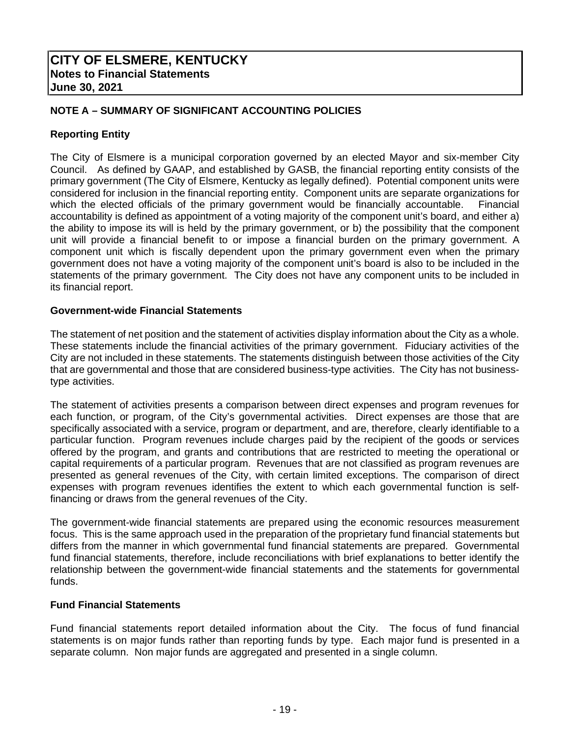### **NOTE A – SUMMARY OF SIGNIFICANT ACCOUNTING POLICIES**

### **Reporting Entity**

The City of Elsmere is a municipal corporation governed by an elected Mayor and six-member City Council. As defined by GAAP, and established by GASB, the financial reporting entity consists of the primary government (The City of Elsmere, Kentucky as legally defined). Potential component units were considered for inclusion in the financial reporting entity. Component units are separate organizations for which the elected officials of the primary government would be financially accountable. Financial accountability is defined as appointment of a voting majority of the component unit's board, and either a) the ability to impose its will is held by the primary government, or b) the possibility that the component unit will provide a financial benefit to or impose a financial burden on the primary government. A component unit which is fiscally dependent upon the primary government even when the primary government does not have a voting majority of the component unit's board is also to be included in the statements of the primary government. The City does not have any component units to be included in its financial report.

### **Government-wide Financial Statements**

The statement of net position and the statement of activities display information about the City as a whole. These statements include the financial activities of the primary government. Fiduciary activities of the City are not included in these statements. The statements distinguish between those activities of the City that are governmental and those that are considered business-type activities. The City has not businesstype activities.

The statement of activities presents a comparison between direct expenses and program revenues for each function, or program, of the City's governmental activities. Direct expenses are those that are specifically associated with a service, program or department, and are, therefore, clearly identifiable to a particular function. Program revenues include charges paid by the recipient of the goods or services offered by the program, and grants and contributions that are restricted to meeting the operational or capital requirements of a particular program. Revenues that are not classified as program revenues are presented as general revenues of the City, with certain limited exceptions. The comparison of direct expenses with program revenues identifies the extent to which each governmental function is selffinancing or draws from the general revenues of the City.

The government-wide financial statements are prepared using the economic resources measurement focus. This is the same approach used in the preparation of the proprietary fund financial statements but differs from the manner in which governmental fund financial statements are prepared. Governmental fund financial statements, therefore, include reconciliations with brief explanations to better identify the relationship between the government-wide financial statements and the statements for governmental funds.

### **Fund Financial Statements**

Fund financial statements report detailed information about the City. The focus of fund financial statements is on major funds rather than reporting funds by type. Each major fund is presented in a separate column. Non major funds are aggregated and presented in a single column.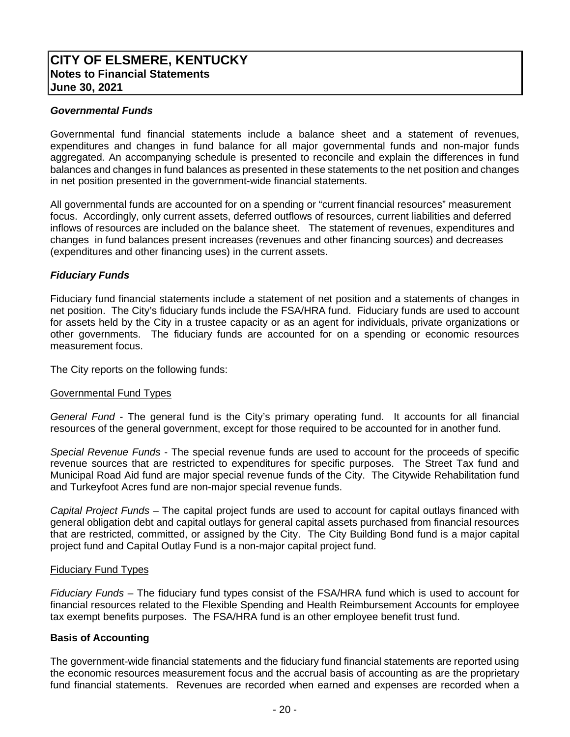### *Governmental Funds*

Governmental fund financial statements include a balance sheet and a statement of revenues, expenditures and changes in fund balance for all major governmental funds and non-major funds aggregated. An accompanying schedule is presented to reconcile and explain the differences in fund balances and changes in fund balances as presented in these statements to the net position and changes in net position presented in the government-wide financial statements.

All governmental funds are accounted for on a spending or "current financial resources" measurement focus. Accordingly, only current assets, deferred outflows of resources, current liabilities and deferred inflows of resources are included on the balance sheet. The statement of revenues, expenditures and changes in fund balances present increases (revenues and other financing sources) and decreases (expenditures and other financing uses) in the current assets.

### *Fiduciary Funds*

Fiduciary fund financial statements include a statement of net position and a statements of changes in net position. The City's fiduciary funds include the FSA/HRA fund. Fiduciary funds are used to account for assets held by the City in a trustee capacity or as an agent for individuals, private organizations or other governments. The fiduciary funds are accounted for on a spending or economic resources measurement focus.

The City reports on the following funds:

### Governmental Fund Types

*General Fund* - The general fund is the City's primary operating fund. It accounts for all financial resources of the general government, except for those required to be accounted for in another fund.

*Special Revenue Funds* - The special revenue funds are used to account for the proceeds of specific revenue sources that are restricted to expenditures for specific purposes. The Street Tax fund and Municipal Road Aid fund are major special revenue funds of the City. The Citywide Rehabilitation fund and Turkeyfoot Acres fund are non-major special revenue funds.

*Capital Project Funds* – The capital project funds are used to account for capital outlays financed with general obligation debt and capital outlays for general capital assets purchased from financial resources that are restricted, committed, or assigned by the City. The City Building Bond fund is a major capital project fund and Capital Outlay Fund is a non-major capital project fund.

### Fiduciary Fund Types

*Fiduciary Funds* – The fiduciary fund types consist of the FSA/HRA fund which is used to account for financial resources related to the Flexible Spending and Health Reimbursement Accounts for employee tax exempt benefits purposes. The FSA/HRA fund is an other employee benefit trust fund.

### **Basis of Accounting**

The government-wide financial statements and the fiduciary fund financial statements are reported using the economic resources measurement focus and the accrual basis of accounting as are the proprietary fund financial statements. Revenues are recorded when earned and expenses are recorded when a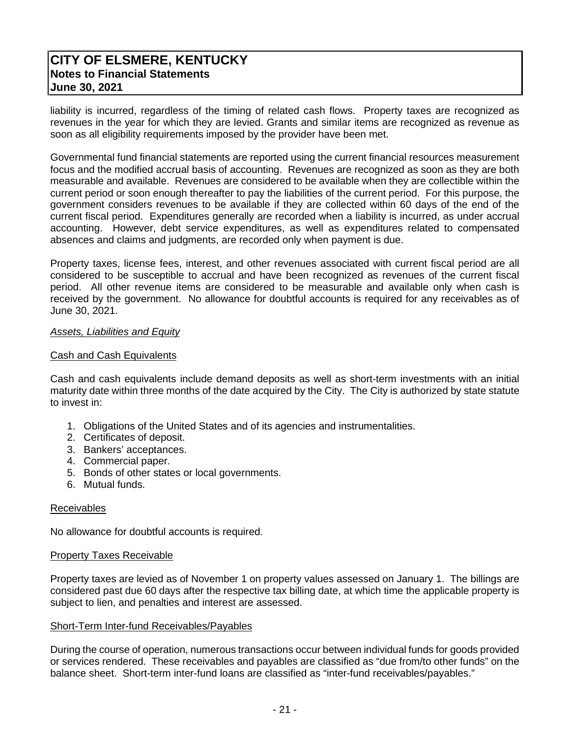liability is incurred, regardless of the timing of related cash flows. Property taxes are recognized as revenues in the year for which they are levied. Grants and similar items are recognized as revenue as soon as all eligibility requirements imposed by the provider have been met.

Governmental fund financial statements are reported using the current financial resources measurement focus and the modified accrual basis of accounting. Revenues are recognized as soon as they are both measurable and available. Revenues are considered to be available when they are collectible within the current period or soon enough thereafter to pay the liabilities of the current period. For this purpose, the government considers revenues to be available if they are collected within 60 days of the end of the current fiscal period. Expenditures generally are recorded when a liability is incurred, as under accrual accounting. However, debt service expenditures, as well as expenditures related to compensated absences and claims and judgments, are recorded only when payment is due.

Property taxes, license fees, interest, and other revenues associated with current fiscal period are all considered to be susceptible to accrual and have been recognized as revenues of the current fiscal period. All other revenue items are considered to be measurable and available only when cash is received by the government. No allowance for doubtful accounts is required for any receivables as of June 30, 2021.

### *Assets, Liabilities and Equity*

### Cash and Cash Equivalents

Cash and cash equivalents include demand deposits as well as short-term investments with an initial maturity date within three months of the date acquired by the City. The City is authorized by state statute to invest in:

- 1. Obligations of the United States and of its agencies and instrumentalities.
- 2. Certificates of deposit.
- 3. Bankers' acceptances.
- 4. Commercial paper.
- 5. Bonds of other states or local governments.
- 6. Mutual funds.

### Receivables

No allowance for doubtful accounts is required.

### Property Taxes Receivable

Property taxes are levied as of November 1 on property values assessed on January 1. The billings are considered past due 60 days after the respective tax billing date, at which time the applicable property is subject to lien, and penalties and interest are assessed.

### Short-Term Inter-fund Receivables/Payables

During the course of operation, numerous transactions occur between individual funds for goods provided or services rendered. These receivables and payables are classified as "due from/to other funds" on the balance sheet. Short-term inter-fund loans are classified as "inter-fund receivables/payables."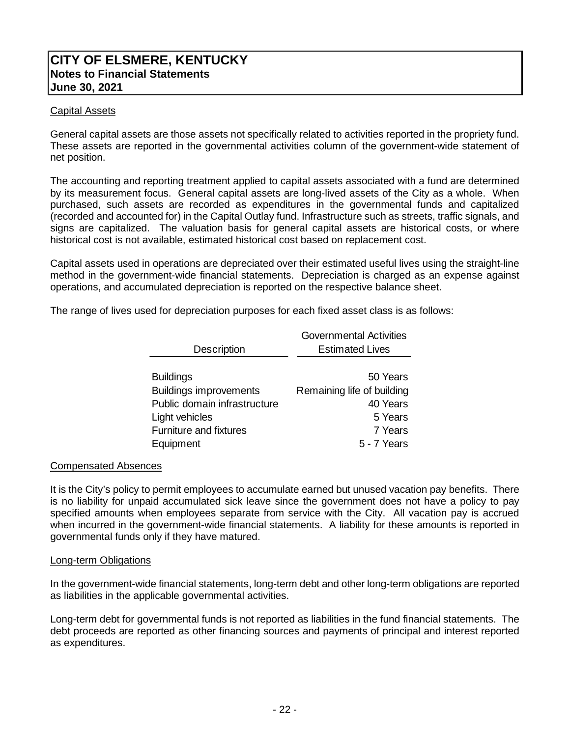### Capital Assets

General capital assets are those assets not specifically related to activities reported in the propriety fund. These assets are reported in the governmental activities column of the government-wide statement of net position.

The accounting and reporting treatment applied to capital assets associated with a fund are determined by its measurement focus. General capital assets are long-lived assets of the City as a whole. When purchased, such assets are recorded as expenditures in the governmental funds and capitalized (recorded and accounted for) in the Capital Outlay fund. Infrastructure such as streets, traffic signals, and signs are capitalized. The valuation basis for general capital assets are historical costs, or where historical cost is not available, estimated historical cost based on replacement cost.

Capital assets used in operations are depreciated over their estimated useful lives using the straight-line method in the government-wide financial statements. Depreciation is charged as an expense against operations, and accumulated depreciation is reported on the respective balance sheet.

The range of lives used for depreciation purposes for each fixed asset class is as follows:

|                               | <b>Governmental Activities</b> |
|-------------------------------|--------------------------------|
| <b>Description</b>            | <b>Estimated Lives</b>         |
|                               |                                |
| <b>Buildings</b>              | 50 Years                       |
| <b>Buildings improvements</b> | Remaining life of building     |
| Public domain infrastructure  | 40 Years                       |
| Light vehicles                | 5 Years                        |
| Furniture and fixtures        | 7 Years                        |
| Equipment                     | 5 - 7 Years                    |

### Compensated Absences

It is the City's policy to permit employees to accumulate earned but unused vacation pay benefits. There is no liability for unpaid accumulated sick leave since the government does not have a policy to pay specified amounts when employees separate from service with the City. All vacation pay is accrued when incurred in the government-wide financial statements. A liability for these amounts is reported in governmental funds only if they have matured.

### Long-term Obligations

In the government-wide financial statements, long-term debt and other long-term obligations are reported as liabilities in the applicable governmental activities.

Long-term debt for governmental funds is not reported as liabilities in the fund financial statements. The debt proceeds are reported as other financing sources and payments of principal and interest reported as expenditures.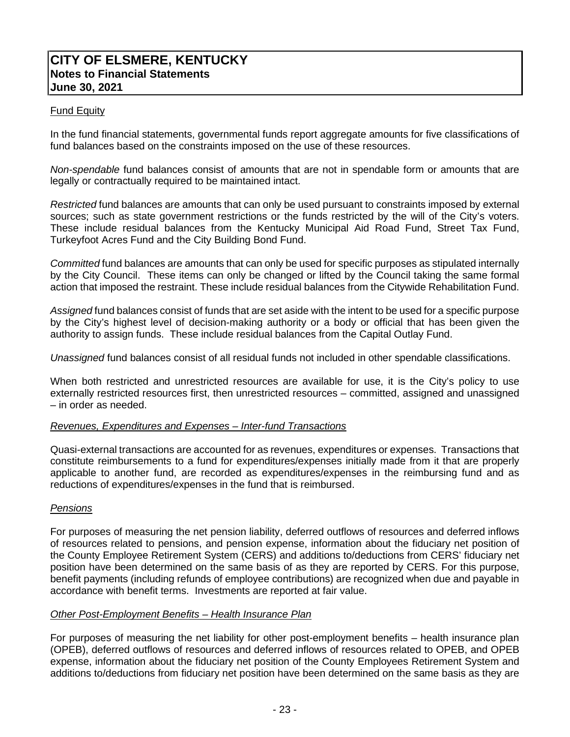### Fund Equity

In the fund financial statements, governmental funds report aggregate amounts for five classifications of fund balances based on the constraints imposed on the use of these resources.

*Non-spendable* fund balances consist of amounts that are not in spendable form or amounts that are legally or contractually required to be maintained intact.

*Restricted* fund balances are amounts that can only be used pursuant to constraints imposed by external sources; such as state government restrictions or the funds restricted by the will of the City's voters. These include residual balances from the Kentucky Municipal Aid Road Fund, Street Tax Fund, Turkeyfoot Acres Fund and the City Building Bond Fund.

*Committed* fund balances are amounts that can only be used for specific purposes as stipulated internally by the City Council. These items can only be changed or lifted by the Council taking the same formal action that imposed the restraint. These include residual balances from the Citywide Rehabilitation Fund.

*Assigned* fund balances consist of funds that are set aside with the intent to be used for a specific purpose by the City's highest level of decision-making authority or a body or official that has been given the authority to assign funds. These include residual balances from the Capital Outlay Fund.

*Unassigned* fund balances consist of all residual funds not included in other spendable classifications.

When both restricted and unrestricted resources are available for use, it is the City's policy to use externally restricted resources first, then unrestricted resources – committed, assigned and unassigned – in order as needed.

### *Revenues, Expenditures and Expenses – Inter-fund Transactions*

Quasi-external transactions are accounted for as revenues, expenditures or expenses. Transactions that constitute reimbursements to a fund for expenditures/expenses initially made from it that are properly applicable to another fund, are recorded as expenditures/expenses in the reimbursing fund and as reductions of expenditures/expenses in the fund that is reimbursed.

### *Pensions*

For purposes of measuring the net pension liability, deferred outflows of resources and deferred inflows of resources related to pensions, and pension expense, information about the fiduciary net position of the County Employee Retirement System (CERS) and additions to/deductions from CERS' fiduciary net position have been determined on the same basis of as they are reported by CERS. For this purpose, benefit payments (including refunds of employee contributions) are recognized when due and payable in accordance with benefit terms. Investments are reported at fair value.

### *Other Post-Employment Benefits – Health Insurance Plan*

For purposes of measuring the net liability for other post-employment benefits – health insurance plan (OPEB), deferred outflows of resources and deferred inflows of resources related to OPEB, and OPEB expense, information about the fiduciary net position of the County Employees Retirement System and additions to/deductions from fiduciary net position have been determined on the same basis as they are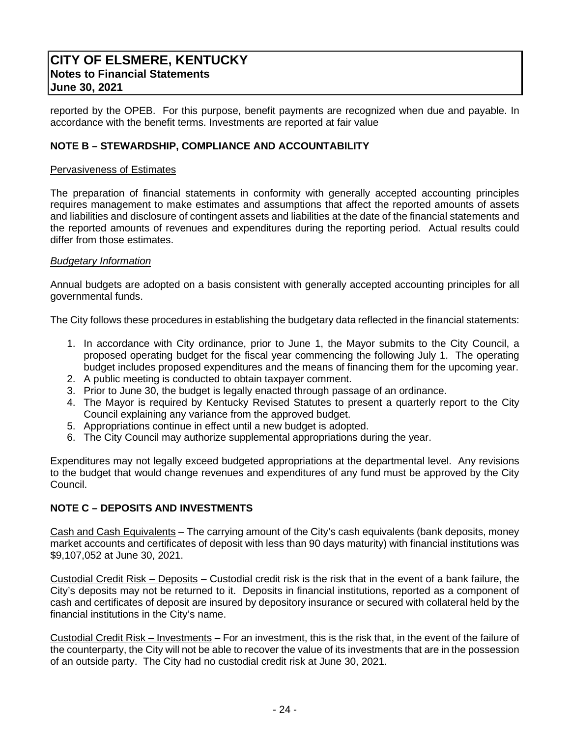reported by the OPEB. For this purpose, benefit payments are recognized when due and payable. In accordance with the benefit terms. Investments are reported at fair value

### **NOTE B – STEWARDSHIP, COMPLIANCE AND ACCOUNTABILITY**

#### Pervasiveness of Estimates

The preparation of financial statements in conformity with generally accepted accounting principles requires management to make estimates and assumptions that affect the reported amounts of assets and liabilities and disclosure of contingent assets and liabilities at the date of the financial statements and the reported amounts of revenues and expenditures during the reporting period. Actual results could differ from those estimates.

### *Budgetary Information*

Annual budgets are adopted on a basis consistent with generally accepted accounting principles for all governmental funds.

The City follows these procedures in establishing the budgetary data reflected in the financial statements:

- 1. In accordance with City ordinance, prior to June 1, the Mayor submits to the City Council, a proposed operating budget for the fiscal year commencing the following July 1. The operating budget includes proposed expenditures and the means of financing them for the upcoming year.
- 2. A public meeting is conducted to obtain taxpayer comment.
- 3. Prior to June 30, the budget is legally enacted through passage of an ordinance.
- 4. The Mayor is required by Kentucky Revised Statutes to present a quarterly report to the City Council explaining any variance from the approved budget.
- 5. Appropriations continue in effect until a new budget is adopted.
- 6. The City Council may authorize supplemental appropriations during the year.

Expenditures may not legally exceed budgeted appropriations at the departmental level. Any revisions to the budget that would change revenues and expenditures of any fund must be approved by the City Council.

### **NOTE C – DEPOSITS AND INVESTMENTS**

Cash and Cash Equivalents – The carrying amount of the City's cash equivalents (bank deposits, money market accounts and certificates of deposit with less than 90 days maturity) with financial institutions was \$9,107,052 at June 30, 2021.

Custodial Credit Risk – Deposits – Custodial credit risk is the risk that in the event of a bank failure, the City's deposits may not be returned to it. Deposits in financial institutions, reported as a component of cash and certificates of deposit are insured by depository insurance or secured with collateral held by the financial institutions in the City's name.

Custodial Credit Risk – Investments – For an investment, this is the risk that, in the event of the failure of the counterparty, the City will not be able to recover the value of its investments that are in the possession of an outside party. The City had no custodial credit risk at June 30, 2021.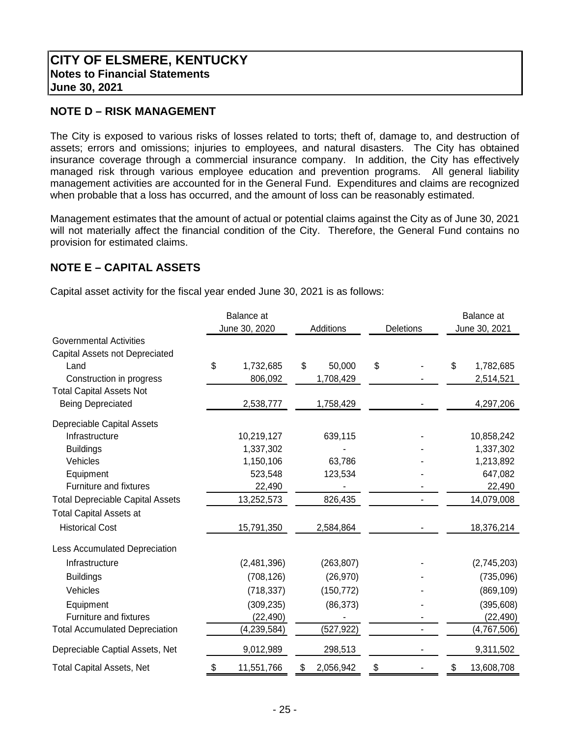### **NOTE D – RISK MANAGEMENT**

The City is exposed to various risks of losses related to torts; theft of, damage to, and destruction of assets; errors and omissions; injuries to employees, and natural disasters. The City has obtained insurance coverage through a commercial insurance company. In addition, the City has effectively managed risk through various employee education and prevention programs. All general liability management activities are accounted for in the General Fund. Expenditures and claims are recognized when probable that a loss has occurred, and the amount of loss can be reasonably estimated.

Management estimates that the amount of actual or potential claims against the City as of June 30, 2021 will not materially affect the financial condition of the City. Therefore, the General Fund contains no provision for estimated claims.

### **NOTE E – CAPITAL ASSETS**

Capital asset activity for the fiscal year ended June 30, 2021 is as follows:

|                                         | Balance at       |                 |           | <b>Balance</b> at |
|-----------------------------------------|------------------|-----------------|-----------|-------------------|
|                                         | June 30, 2020    | Additions       | Deletions | June 30, 2021     |
| <b>Governmental Activities</b>          |                  |                 |           |                   |
| Capital Assets not Depreciated          |                  |                 |           |                   |
| Land                                    | \$<br>1,732,685  | \$<br>50,000    | \$        | \$<br>1,782,685   |
| Construction in progress                | 806,092          | 1,708,429       |           | 2,514,521         |
| <b>Total Capital Assets Not</b>         |                  |                 |           |                   |
| <b>Being Depreciated</b>                | 2,538,777        | 1,758,429       |           | 4,297,206         |
| Depreciable Capital Assets              |                  |                 |           |                   |
| Infrastructure                          | 10,219,127       | 639,115         |           | 10,858,242        |
| <b>Buildings</b>                        | 1,337,302        |                 |           | 1,337,302         |
| Vehicles                                | 1,150,106        | 63,786          |           | 1,213,892         |
| Equipment                               | 523,548          | 123,534         |           | 647,082           |
| <b>Furniture and fixtures</b>           | 22,490           |                 |           | 22,490            |
| <b>Total Depreciable Capital Assets</b> | 13,252,573       | 826,435         |           | 14,079,008        |
| <b>Total Capital Assets at</b>          |                  |                 |           |                   |
| <b>Historical Cost</b>                  | 15,791,350       | 2,584,864       |           | 18,376,214        |
| Less Accumulated Depreciation           |                  |                 |           |                   |
| Infrastructure                          | (2,481,396)      | (263, 807)      |           | (2,745,203)       |
| <b>Buildings</b>                        | (708, 126)       | (26, 970)       |           | (735,096)         |
| Vehicles                                | (718, 337)       | (150, 772)      |           | (869, 109)        |
| Equipment                               | (309, 235)       | (86, 373)       |           | (395, 608)        |
| <b>Furniture and fixtures</b>           | (22, 490)        |                 |           | (22, 490)         |
| <b>Total Accumulated Depreciation</b>   | (4,239,584)      | (527,922)       |           | (4,767,506)       |
| Depreciable Captial Assets, Net         | 9,012,989        | 298,513         |           | 9,311,502         |
| <b>Total Capital Assets, Net</b>        | \$<br>11,551,766 | \$<br>2,056,942 | \$        | \$<br>13,608,708  |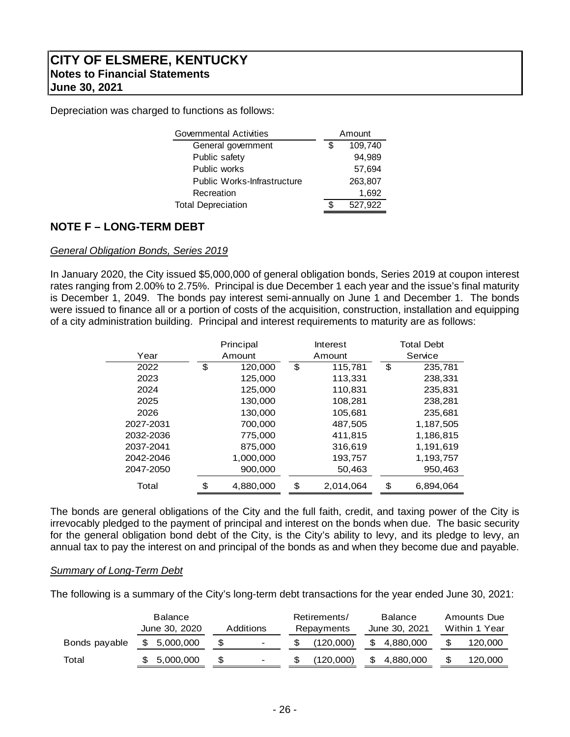Depreciation was charged to functions as follows:

| <b>Governmental Activities</b>     |   | Amount  |
|------------------------------------|---|---------|
| General government                 | S | 109,740 |
| Public safety                      |   | 94,989  |
| Public works                       |   | 57,694  |
| <b>Public Works-Infrastructure</b> |   | 263,807 |
| Recreation                         |   | 1,692   |
| <b>Total Depreciation</b>          |   | 527,922 |

### **NOTE F – LONG-TERM DEBT**

### *General Obligation Bonds, Series 2019*

In January 2020, the City issued \$5,000,000 of general obligation bonds, Series 2019 at coupon interest rates ranging from 2.00% to 2.75%. Principal is due December 1 each year and the issue's final maturity is December 1, 2049. The bonds pay interest semi-annually on June 1 and December 1. The bonds were issued to finance all or a portion of costs of the acquisition, construction, installation and equipping of a city administration building. Principal and interest requirements to maturity are as follows:

|           | Principal |           | Interest |           |     | <b>Total Debt</b> |
|-----------|-----------|-----------|----------|-----------|-----|-------------------|
| Year      |           | Amount    |          | Amount    |     | Service           |
| 2022      | \$        | 120,000   | \$       | 115,781   | \$  | 235,781           |
| 2023      |           | 125,000   |          | 113,331   |     | 238,331           |
| 2024      |           | 125,000   |          | 110,831   |     | 235,831           |
| 2025      |           | 130,000   |          | 108,281   |     | 238,281           |
| 2026      |           | 130,000   |          | 105,681   |     | 235,681           |
| 2027-2031 |           | 700.000   |          | 487.505   |     | 1,187,505         |
| 2032-2036 |           | 775,000   |          | 411,815   |     | 1,186,815         |
| 2037-2041 |           | 875,000   |          | 316,619   |     | 1,191,619         |
| 2042-2046 |           | 1,000,000 |          | 193,757   |     | 1,193,757         |
| 2047-2050 |           | 900,000   |          | 50,463    |     | 950,463           |
| Total     |           | 4,880,000 | \$       | 2,014,064 | \$. | 6,894,064         |

The bonds are general obligations of the City and the full faith, credit, and taxing power of the City is irrevocably pledged to the payment of principal and interest on the bonds when due. The basic security for the general obligation bond debt of the City, is the City's ability to levy, and its pledge to levy, an annual tax to pay the interest on and principal of the bonds as and when they become due and payable.

### *Summary of Long-Term Debt*

The following is a summary of the City's long-term debt transactions for the year ended June 30, 2021:

|               | <b>Balance</b><br>June 30, 2020 | Additions | Retirements/<br>Repayments | <b>Balance</b><br>June 30, 2021 | Amounts Due<br>Within 1 Year |
|---------------|---------------------------------|-----------|----------------------------|---------------------------------|------------------------------|
| Bonds payable | \$ 5,000,000                    |           | (120,000)                  | 4,880,000<br>S.                 | 120,000                      |
| Total         | 5,000,000                       |           | (120,000)                  | 4,880,000<br>S.                 | 120,000                      |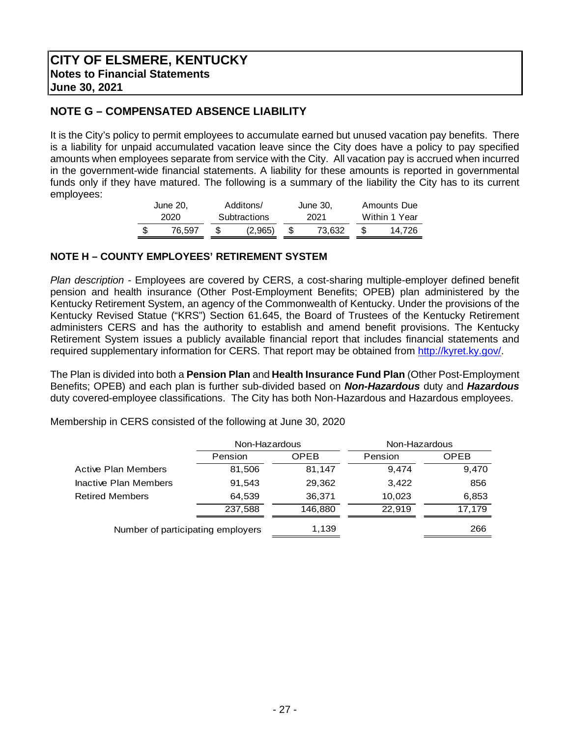### **NOTE G – COMPENSATED ABSENCE LIABILITY**

It is the City's policy to permit employees to accumulate earned but unused vacation pay benefits. There is a liability for unpaid accumulated vacation leave since the City does have a policy to pay specified amounts when employees separate from service with the City. All vacation pay is accrued when incurred in the government-wide financial statements. A liability for these amounts is reported in governmental funds only if they have matured. The following is a summary of the liability the City has to its current employees:

| June 20. |  | Additons/           |  | June 30, |  | Amounts Due   |
|----------|--|---------------------|--|----------|--|---------------|
| 2020     |  | <b>Subtractions</b> |  | 2021     |  | Within 1 Year |
| 76.597   |  | (2,965)             |  | 73.632   |  | 14.726        |

### **NOTE H – COUNTY EMPLOYEES' RETIREMENT SYSTEM**

*Plan description -* Employees are covered by CERS, a cost-sharing multiple-employer defined benefit pension and health insurance (Other Post-Employment Benefits; OPEB) plan administered by the Kentucky Retirement System, an agency of the Commonwealth of Kentucky. Under the provisions of the Kentucky Revised Statue ("KRS") Section 61.645, the Board of Trustees of the Kentucky Retirement administers CERS and has the authority to establish and amend benefit provisions. The Kentucky Retirement System issues a publicly available financial report that includes financial statements and required supplementary information for CERS. That report may be obtained from http://kyret.ky.gov/.

The Plan is divided into both a **Pension Plan** and **Health Insurance Fund Plan** (Other Post-Employment Benefits; OPEB) and each plan is further sub-divided based on *Non-Hazardous* duty and *Hazardous* duty covered-employee classifications. The City has both Non-Hazardous and Hazardous employees.

Membership in CERS consisted of the following at June 30, 2020

|                                   | Non-Hazardous |             | Non-Hazardous |             |
|-----------------------------------|---------------|-------------|---------------|-------------|
|                                   | Pension       | <b>OPEB</b> | Pension       | <b>OPEB</b> |
| Active Plan Members               | 81,506        | 81,147      | 9.474         | 9,470       |
| <b>Inactive Plan Members</b>      | 91,543        | 29,362      | 3,422         | 856         |
| <b>Retired Members</b>            | 64,539        | 36,371      | 10.023        | 6,853       |
|                                   | 237,588       | 146,880     | 22.919        | 17.179      |
| Number of participating employers |               | 1,139       |               | 266         |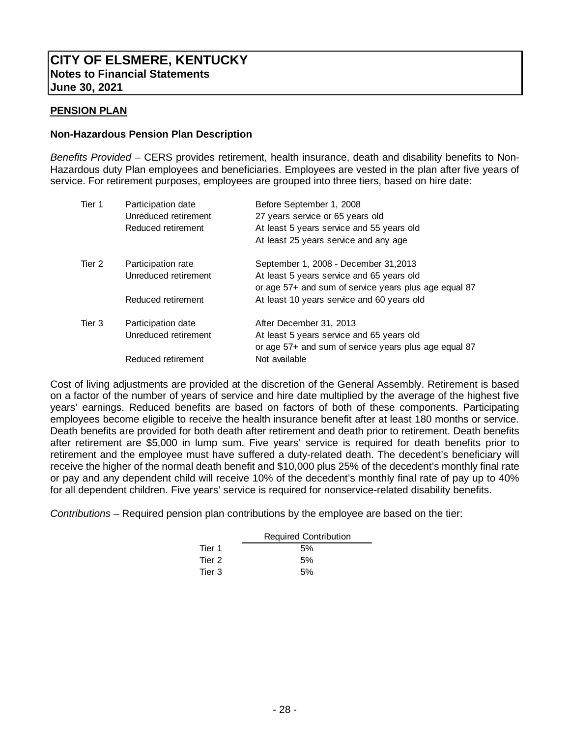### **PENSION PLAN**

### **Non-Hazardous Pension Plan Description**

*Benefits Provided –* CERS provides retirement, health insurance, death and disability benefits to Non-Hazardous duty Plan employees and beneficiaries. Employees are vested in the plan after five years of service. For retirement purposes, employees are grouped into three tiers, based on hire date:

| Tier 1 | Participation date<br>Unreduced retirement<br>Reduced retirement | Before September 1, 2008<br>27 years service or 65 years old<br>At least 5 years service and 55 years old<br>At least 25 years service and any age |
|--------|------------------------------------------------------------------|----------------------------------------------------------------------------------------------------------------------------------------------------|
| Tier 2 | Participation rate<br>Unreduced retirement                       | September 1, 2008 - December 31,2013<br>At least 5 years service and 65 years old<br>or age 57+ and sum of service years plus age equal 87         |
|        | Reduced retirement                                               | At least 10 years service and 60 years old                                                                                                         |
| Tier 3 | Participation date<br>Unreduced retirement                       | After December 31, 2013<br>At least 5 years service and 65 years old<br>or age 57+ and sum of service years plus age equal 87                      |
|        | Reduced retirement                                               | Not available                                                                                                                                      |

Cost of living adjustments are provided at the discretion of the General Assembly. Retirement is based on a factor of the number of years of service and hire date multiplied by the average of the highest five years' earnings. Reduced benefits are based on factors of both of these components. Participating employees become eligible to receive the health insurance benefit after at least 180 months or service. Death benefits are provided for both death after retirement and death prior to retirement. Death benefits after retirement are \$5,000 in lump sum. Five years' service is required for death benefits prior to retirement and the employee must have suffered a duty-related death. The decedent's beneficiary will receive the higher of the normal death benefit and \$10,000 plus 25% of the decedent's monthly final rate or pay and any dependent child will receive 10% of the decedent's monthly final rate of pay up to 40% for all dependent children. Five years' service is required for nonservice-related disability benefits.

*Contributions –* Required pension plan contributions by the employee are based on the tier:

|        | <b>Required Contribution</b> |  |
|--------|------------------------------|--|
| Tier 1 | 5%                           |  |
| Tier 2 | 5%                           |  |
| Tier 3 | 5%                           |  |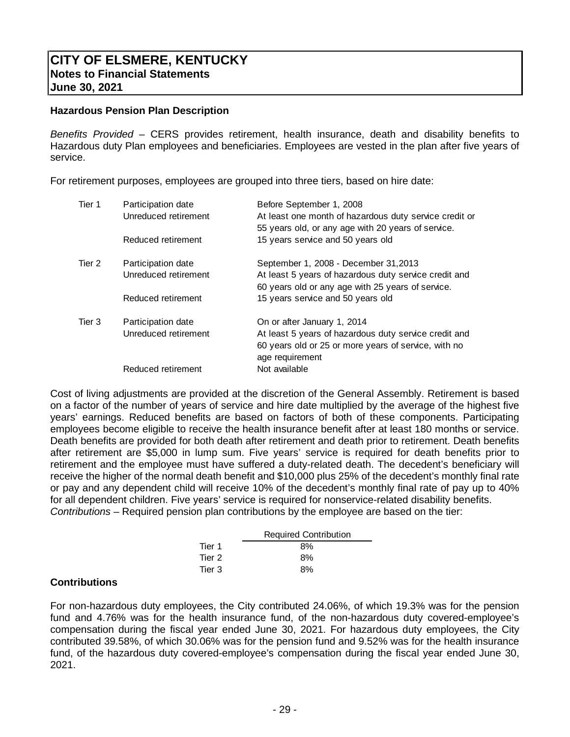### **Hazardous Pension Plan Description**

*Benefits Provided –* CERS provides retirement, health insurance, death and disability benefits to Hazardous duty Plan employees and beneficiaries. Employees are vested in the plan after five years of service.

For retirement purposes, employees are grouped into three tiers, based on hire date:

| Tier 1 | Participation date<br>Unreduced retirement | Before September 1, 2008<br>At least one month of hazardous duty service credit or<br>55 years old, or any age with 20 years of service. |  |  |  |  |  |  |  |
|--------|--------------------------------------------|------------------------------------------------------------------------------------------------------------------------------------------|--|--|--|--|--|--|--|
|        | Reduced retirement                         | 15 years service and 50 years old                                                                                                        |  |  |  |  |  |  |  |
| Tier 2 | Participation date                         | September 1, 2008 - December 31,2013                                                                                                     |  |  |  |  |  |  |  |
|        | Unreduced retirement                       | At least 5 years of hazardous duty service credit and<br>60 years old or any age with 25 years of service.                               |  |  |  |  |  |  |  |
|        | Reduced retirement                         | 15 years service and 50 years old                                                                                                        |  |  |  |  |  |  |  |
| Tier 3 | Participation date                         | On or after January 1, 2014                                                                                                              |  |  |  |  |  |  |  |
|        | Unreduced retirement                       | At least 5 years of hazardous duty service credit and                                                                                    |  |  |  |  |  |  |  |
|        |                                            | 60 years old or 25 or more years of service, with no<br>age requirement                                                                  |  |  |  |  |  |  |  |
|        | Reduced retirement                         | Not available                                                                                                                            |  |  |  |  |  |  |  |

Cost of living adjustments are provided at the discretion of the General Assembly. Retirement is based on a factor of the number of years of service and hire date multiplied by the average of the highest five years' earnings. Reduced benefits are based on factors of both of these components. Participating employees become eligible to receive the health insurance benefit after at least 180 months or service. Death benefits are provided for both death after retirement and death prior to retirement. Death benefits after retirement are \$5,000 in lump sum. Five years' service is required for death benefits prior to retirement and the employee must have suffered a duty-related death. The decedent's beneficiary will receive the higher of the normal death benefit and \$10,000 plus 25% of the decedent's monthly final rate or pay and any dependent child will receive 10% of the decedent's monthly final rate of pay up to 40% for all dependent children. Five years' service is required for nonservice-related disability benefits. *Contributions –* Required pension plan contributions by the employee are based on the tier:

|        | <b>Required Contribution</b> |
|--------|------------------------------|
| Tier 1 | 8%                           |
| Tier 2 | 8%                           |
| Tier 3 | 8%                           |

### **Contributions**

For non-hazardous duty employees, the City contributed 24.06%, of which 19.3% was for the pension fund and 4.76% was for the health insurance fund, of the non-hazardous duty covered-employee's compensation during the fiscal year ended June 30, 2021. For hazardous duty employees, the City contributed 39.58%, of which 30.06% was for the pension fund and 9.52% was for the health insurance fund, of the hazardous duty covered-employee's compensation during the fiscal year ended June 30, 2021.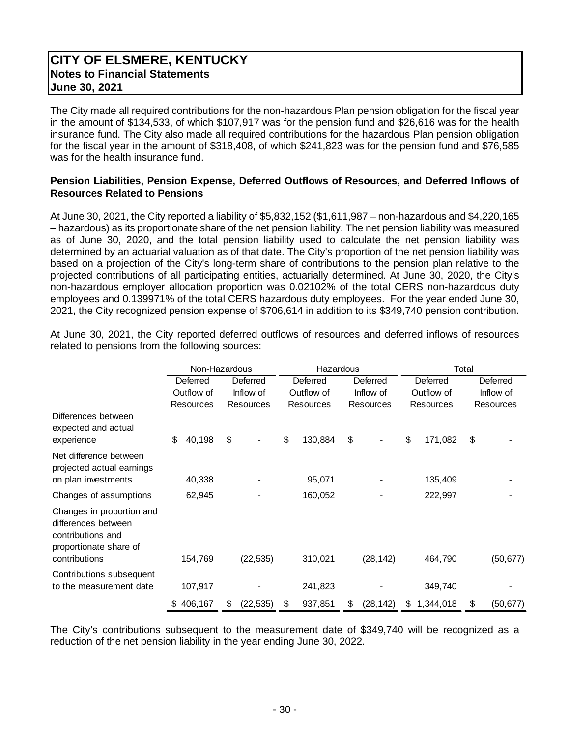The City made all required contributions for the non-hazardous Plan pension obligation for the fiscal year in the amount of \$134,533, of which \$107,917 was for the pension fund and \$26,616 was for the health insurance fund. The City also made all required contributions for the hazardous Plan pension obligation for the fiscal year in the amount of \$318,408, of which \$241,823 was for the pension fund and \$76,585 was for the health insurance fund.

### **Pension Liabilities, Pension Expense, Deferred Outflows of Resources, and Deferred Inflows of Resources Related to Pensions**

At June 30, 2021, the City reported a liability of \$5,832,152 (\$1,611,987 – non-hazardous and \$4,220,165 – hazardous) as its proportionate share of the net pension liability. The net pension liability was measured as of June 30, 2020, and the total pension liability used to calculate the net pension liability was determined by an actuarial valuation as of that date. The City's proportion of the net pension liability was based on a projection of the City's long-term share of contributions to the pension plan relative to the projected contributions of all participating entities, actuarially determined. At June 30, 2020, the City's non-hazardous employer allocation proportion was 0.02102% of the total CERS non-hazardous duty employees and 0.139971% of the total CERS hazardous duty employees. For the year ended June 30, 2021, the City recognized pension expense of \$706,614 in addition to its \$349,740 pension contribution.

|                                                                                                 | Non-Hazardous |            |           |                  |            | Hazardous |           | Total     |                  |           |           |           |
|-------------------------------------------------------------------------------------------------|---------------|------------|-----------|------------------|------------|-----------|-----------|-----------|------------------|-----------|-----------|-----------|
|                                                                                                 | Deferred      |            | Deferred  |                  | Deferred   |           | Deferred  |           | Deferred         |           | Deferred  |           |
|                                                                                                 |               | Outflow of | Inflow of |                  | Outflow of |           | Inflow of |           | Outflow of       |           | Inflow of |           |
|                                                                                                 |               | Resources  |           | <b>Resources</b> |            | Resources | Resources |           | <b>Resources</b> |           | Resources |           |
| Differences between<br>expected and actual                                                      | \$            | 40,198     | \$        |                  | \$         | 130,884   | \$        |           | \$               | 171,082   | \$        |           |
| experience                                                                                      |               |            |           |                  |            |           |           |           |                  |           |           |           |
| Net difference between<br>projected actual earnings<br>on plan investments                      |               | 40,338     |           |                  |            | 95,071    |           |           |                  | 135,409   |           |           |
|                                                                                                 |               |            |           |                  |            |           |           |           |                  |           |           |           |
| Changes of assumptions                                                                          |               | 62,945     |           |                  |            | 160,052   |           |           |                  | 222,997   |           |           |
| Changes in proportion and<br>differences between<br>contributions and<br>proportionate share of |               |            |           |                  |            |           |           |           |                  |           |           |           |
| contributions                                                                                   |               | 154,769    |           | (22, 535)        |            | 310,021   |           | (28, 142) |                  | 464,790   |           | (50, 677) |
| Contributions subsequent<br>to the measurement date                                             |               | 107,917    |           |                  |            | 241,823   |           |           |                  | 349,740   |           |           |
|                                                                                                 | \$            | 406,167    | \$        | (22, 535)        | \$         | 937,851   | \$        | (28, 142) | \$               | 1,344,018 | \$        | (50, 677) |

At June 30, 2021, the City reported deferred outflows of resources and deferred inflows of resources related to pensions from the following sources:

The City's contributions subsequent to the measurement date of \$349,740 will be recognized as a reduction of the net pension liability in the year ending June 30, 2022.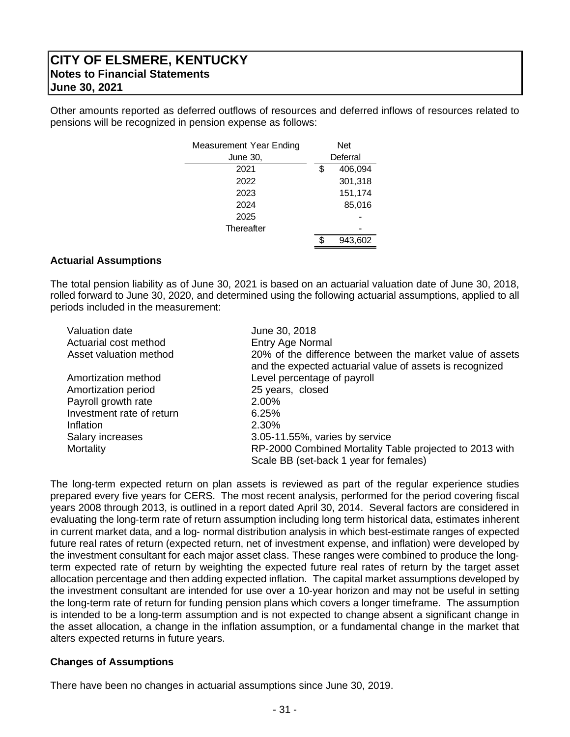Other amounts reported as deferred outflows of resources and deferred inflows of resources related to pensions will be recognized in pension expense as follows:

| <b>Measurement Year Ending</b> |   | Net      |  |  |  |  |
|--------------------------------|---|----------|--|--|--|--|
| June 30,                       |   | Deferral |  |  |  |  |
| 2021                           | S | 406,094  |  |  |  |  |
| 2022                           |   | 301,318  |  |  |  |  |
| 2023                           |   | 151,174  |  |  |  |  |
| 2024                           |   | 85,016   |  |  |  |  |
| 2025                           |   |          |  |  |  |  |
| Thereafter                     |   |          |  |  |  |  |
|                                |   | 943,602  |  |  |  |  |

### **Actuarial Assumptions**

The total pension liability as of June 30, 2021 is based on an actuarial valuation date of June 30, 2018, rolled forward to June 30, 2020, and determined using the following actuarial assumptions, applied to all periods included in the measurement:

| Valuation date            | June 30, 2018                                                                                                        |
|---------------------------|----------------------------------------------------------------------------------------------------------------------|
| Actuarial cost method     | Entry Age Normal                                                                                                     |
| Asset valuation method    | 20% of the difference between the market value of assets<br>and the expected actuarial value of assets is recognized |
| Amortization method       | Level percentage of payroll                                                                                          |
| Amortization period       | 25 years, closed                                                                                                     |
| Payroll growth rate       | 2.00%                                                                                                                |
| Investment rate of return | 6.25%                                                                                                                |
| Inflation                 | 2.30%                                                                                                                |
| Salary increases          | 3.05-11.55%, varies by service                                                                                       |
| Mortality                 | RP-2000 Combined Mortality Table projected to 2013 with                                                              |
|                           | Scale BB (set-back 1 year for females)                                                                               |

The long-term expected return on plan assets is reviewed as part of the regular experience studies prepared every five years for CERS. The most recent analysis, performed for the period covering fiscal years 2008 through 2013, is outlined in a report dated April 30, 2014. Several factors are considered in evaluating the long-term rate of return assumption including long term historical data, estimates inherent in current market data, and a log- normal distribution analysis in which best-estimate ranges of expected future real rates of return (expected return, net of investment expense, and inflation) were developed by the investment consultant for each major asset class. These ranges were combined to produce the long‐ term expected rate of return by weighting the expected future real rates of return by the target asset allocation percentage and then adding expected inflation. The capital market assumptions developed by the investment consultant are intended for use over a 10‐year horizon and may not be useful in setting the long‐term rate of return for funding pension plans which covers a longer timeframe. The assumption is intended to be a long-term assumption and is not expected to change absent a significant change in the asset allocation, a change in the inflation assumption, or a fundamental change in the market that alters expected returns in future years.

### **Changes of Assumptions**

There have been no changes in actuarial assumptions since June 30, 2019.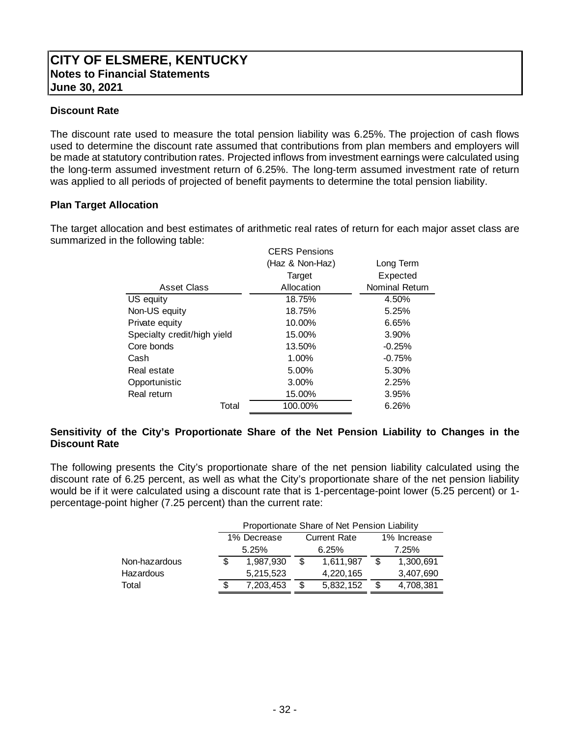### **Discount Rate**

The discount rate used to measure the total pension liability was 6.25%. The projection of cash flows used to determine the discount rate assumed that contributions from plan members and employers will be made at statutory contribution rates. Projected inflows from investment earnings were calculated using the long‐term assumed investment return of 6.25%. The long‐term assumed investment rate of return was applied to all periods of projected of benefit payments to determine the total pension liability.

### **Plan Target Allocation**

The target allocation and best estimates of arithmetic real rates of return for each major asset class are summarized in the following table:

|                             | <b>CERS Pensions</b> |                |  |  |  |
|-----------------------------|----------------------|----------------|--|--|--|
|                             | (Haz & Non-Haz)      | Long Term      |  |  |  |
|                             | Target               | Expected       |  |  |  |
| Asset Class                 | Allocation           | Nominal Return |  |  |  |
| US equity                   | 18.75%               | 4.50%          |  |  |  |
| Non-US equity               | 18.75%               | 5.25%          |  |  |  |
| Private equity              | 10.00%               | 6.65%          |  |  |  |
| Specialty credit/high yield | 15.00%               | 3.90%          |  |  |  |
| Core bonds                  | 13.50%               | $-0.25%$       |  |  |  |
| Cash                        | 1.00%                | $-0.75%$       |  |  |  |
| Real estate                 | 5.00%                | 5.30%          |  |  |  |
| Opportunistic               | 3.00%                | 2.25%          |  |  |  |
| Real return                 | 15.00%               | 3.95%          |  |  |  |
| Total                       | 100.00%              | 6.26%          |  |  |  |

### **Sensitivity of the City's Proportionate Share of the Net Pension Liability to Changes in the Discount Rate**

The following presents the City's proportionate share of the net pension liability calculated using the discount rate of 6.25 percent, as well as what the City's proportionate share of the net pension liability would be if it were calculated using a discount rate that is 1-percentage-point lower (5.25 percent) or 1 percentage-point higher (7.25 percent) than the current rate:

|               | Proportionate Share of Net Pension Liability |             |   |                     |             |           |  |  |  |
|---------------|----------------------------------------------|-------------|---|---------------------|-------------|-----------|--|--|--|
|               |                                              | 1% Decrease |   | <b>Current Rate</b> | 1% Increase |           |  |  |  |
|               |                                              | 5.25%       |   | 6.25%               | 7.25%       |           |  |  |  |
| Non-hazardous | S                                            | 1,987,930   | S | 1,611,987           |             | 1,300,691 |  |  |  |
| Hazardous     |                                              | 5,215,523   |   | 4,220,165           |             | 3,407,690 |  |  |  |
| Total         | S                                            | 7,203,453   | S | 5,832,152           |             | 4,708,381 |  |  |  |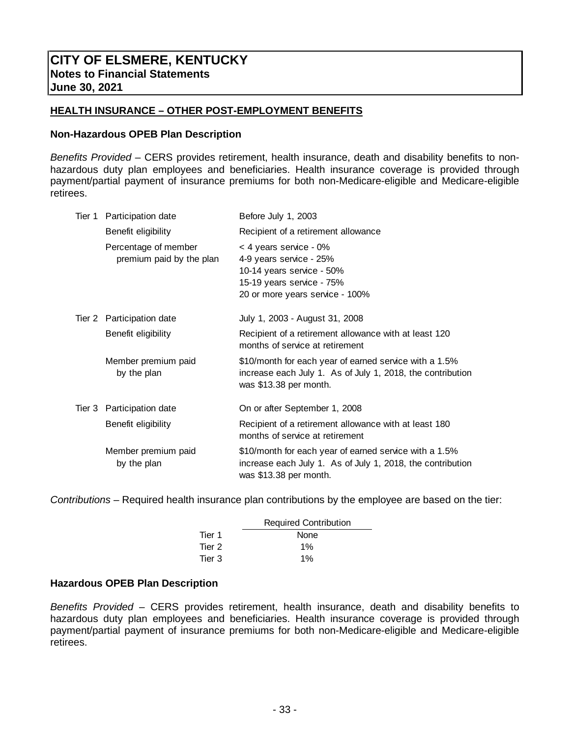### **HEALTH INSURANCE – OTHER POST-EMPLOYMENT BENEFITS**

### **Non-Hazardous OPEB Plan Description**

*Benefits Provided* – CERS provides retirement, health insurance, death and disability benefits to nonhazardous duty plan employees and beneficiaries. Health insurance coverage is provided through payment/partial payment of insurance premiums for both non-Medicare-eligible and Medicare-eligible retirees.

| Tier 1 Participation date                        | Before July 1, 2003                                                                                                                            |  |  |  |  |  |  |
|--------------------------------------------------|------------------------------------------------------------------------------------------------------------------------------------------------|--|--|--|--|--|--|
| Benefit eligibility                              | Recipient of a retirement allowance                                                                                                            |  |  |  |  |  |  |
| Percentage of member<br>premium paid by the plan | < 4 years service - 0%<br>4-9 years service - 25%<br>10-14 years service - 50%<br>15-19 years service - 75%<br>20 or more years service - 100% |  |  |  |  |  |  |
| Tier 2 Participation date                        | July 1, 2003 - August 31, 2008                                                                                                                 |  |  |  |  |  |  |
| Benefit eligibility                              | Recipient of a retirement allowance with at least 120<br>months of service at retirement                                                       |  |  |  |  |  |  |
| Member premium paid<br>by the plan               | \$10/month for each year of earned service with a 1.5%<br>increase each July 1. As of July 1, 2018, the contribution<br>was \$13.38 per month. |  |  |  |  |  |  |
| Tier 3 Participation date                        | On or after September 1, 2008                                                                                                                  |  |  |  |  |  |  |
| Benefit eligibility                              | Recipient of a retirement allowance with at least 180<br>months of service at retirement                                                       |  |  |  |  |  |  |
| Member premium paid<br>by the plan               | \$10/month for each year of earned service with a 1.5%<br>increase each July 1. As of July 1, 2018, the contribution<br>was \$13.38 per month. |  |  |  |  |  |  |

*Contributions –* Required health insurance plan contributions by the employee are based on the tier:

|        | <b>Required Contribution</b> |
|--------|------------------------------|
| Tier 1 | None                         |
| Tier 2 | $1\%$                        |
| Tier 3 | $1\%$                        |

### **Hazardous OPEB Plan Description**

*Benefits Provided* – CERS provides retirement, health insurance, death and disability benefits to hazardous duty plan employees and beneficiaries. Health insurance coverage is provided through payment/partial payment of insurance premiums for both non-Medicare-eligible and Medicare-eligible retirees.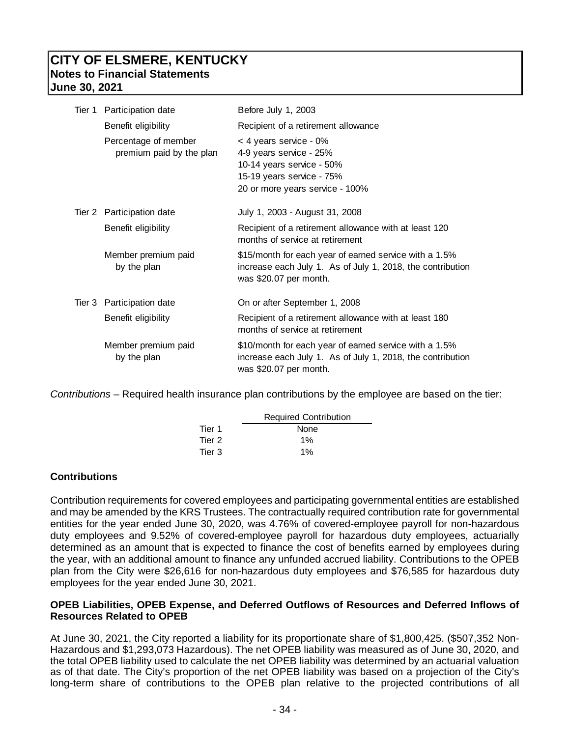| Tier 1 Participation date                        | Before July 1, 2003                                                                                                                            |  |  |  |  |  |  |  |
|--------------------------------------------------|------------------------------------------------------------------------------------------------------------------------------------------------|--|--|--|--|--|--|--|
| Benefit eligibility                              | Recipient of a retirement allowance                                                                                                            |  |  |  |  |  |  |  |
| Percentage of member<br>premium paid by the plan | < 4 years service - 0%<br>4-9 years service - 25%<br>10-14 years service - 50%<br>15-19 years service - 75%<br>20 or more years service - 100% |  |  |  |  |  |  |  |
| Tier 2 Participation date                        | July 1, 2003 - August 31, 2008                                                                                                                 |  |  |  |  |  |  |  |
| Benefit eligibility                              | Recipient of a retirement allowance with at least 120<br>months of service at retirement                                                       |  |  |  |  |  |  |  |
| Member premium paid<br>by the plan               | \$15/month for each year of earned service with a 1.5%<br>increase each July 1. As of July 1, 2018, the contribution<br>was \$20.07 per month. |  |  |  |  |  |  |  |
| Tier 3 Participation date                        | On or after September 1, 2008                                                                                                                  |  |  |  |  |  |  |  |
| Benefit eligibility                              | Recipient of a retirement allowance with at least 180<br>months of service at retirement                                                       |  |  |  |  |  |  |  |
| Member premium paid<br>by the plan               | \$10/month for each year of earned service with a 1.5%<br>increase each July 1. As of July 1, 2018, the contribution<br>was \$20.07 per month. |  |  |  |  |  |  |  |

*Contributions –* Required health insurance plan contributions by the employee are based on the tier:

|        | <b>Required Contribution</b> |
|--------|------------------------------|
| Tier 1 | None                         |
| Tier 2 | $1\%$                        |
| Tier 3 | $1\%$                        |

### **Contributions**

Contribution requirements for covered employees and participating governmental entities are established and may be amended by the KRS Trustees. The contractually required contribution rate for governmental entities for the year ended June 30, 2020, was 4.76% of covered-employee payroll for non-hazardous duty employees and 9.52% of covered-employee payroll for hazardous duty employees, actuarially determined as an amount that is expected to finance the cost of benefits earned by employees during the year, with an additional amount to finance any unfunded accrued liability. Contributions to the OPEB plan from the City were \$26,616 for non-hazardous duty employees and \$76,585 for hazardous duty employees for the year ended June 30, 2021.

### **OPEB Liabilities, OPEB Expense, and Deferred Outflows of Resources and Deferred Inflows of Resources Related to OPEB**

At June 30, 2021, the City reported a liability for its proportionate share of \$1,800,425. (\$507,352 Non-Hazardous and \$1,293,073 Hazardous). The net OPEB liability was measured as of June 30, 2020, and the total OPEB liability used to calculate the net OPEB liability was determined by an actuarial valuation as of that date. The City's proportion of the net OPEB liability was based on a projection of the City's long-term share of contributions to the OPEB plan relative to the projected contributions of all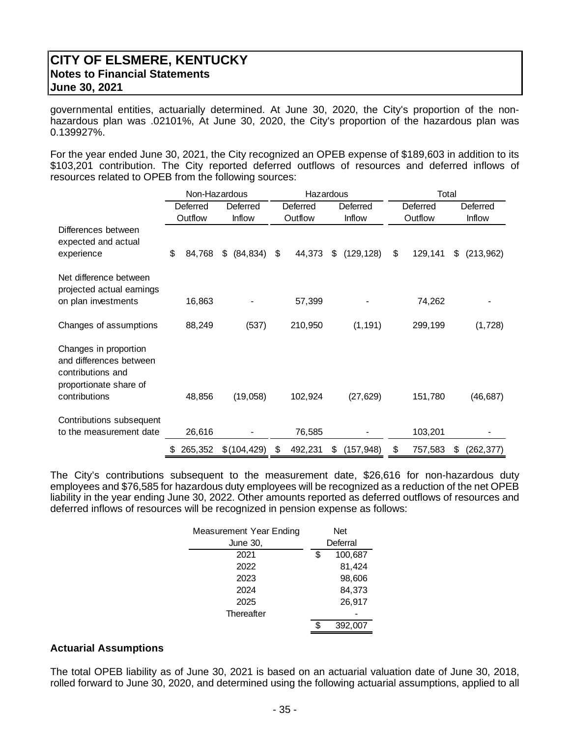governmental entities, actuarially determined. At June 30, 2020, the City's proportion of the nonhazardous plan was .02101%, At June 30, 2020, the City's proportion of the hazardous plan was 0.139927%.

For the year ended June 30, 2021, the City recognized an OPEB expense of \$189,603 in addition to its \$103,201 contribution. The City reported deferred outflows of resources and deferred inflows of resources related to OPEB from the following sources:

|                                                                                                                  | Non-Hazardous |          |          | Hazardous    |          |         |          | Total      |          |         |        |            |
|------------------------------------------------------------------------------------------------------------------|---------------|----------|----------|--------------|----------|---------|----------|------------|----------|---------|--------|------------|
|                                                                                                                  |               | Deferred | Deferred |              | Deferred |         | Deferred |            | Deferred |         |        | Deferred   |
|                                                                                                                  |               | Outflow  |          | Inflow       | Outflow  |         | Inflow   |            | Outflow  |         | Inflow |            |
| Differences between<br>expected and actual<br>experience                                                         | \$            | 84,768   | \$       | (84, 834)    | \$       | 44,373  | \$       | (129, 128) | \$       | 129,141 | \$     | (213,962)  |
| Net difference between<br>projected actual earnings<br>on plan investments                                       |               | 16,863   |          |              |          | 57,399  |          |            |          | 74,262  |        |            |
| Changes of assumptions                                                                                           |               | 88,249   |          | (537)        |          | 210,950 |          | (1, 191)   |          | 299,199 |        | (1,728)    |
| Changes in proportion<br>and differences between<br>contributions and<br>proportionate share of<br>contributions |               | 48,856   |          | (19,058)     |          | 102,924 |          | (27, 629)  |          | 151,780 |        | (46, 687)  |
| Contributions subsequent<br>to the measurement date                                                              |               | 26,616   |          |              |          | 76,585  |          |            |          | 103,201 |        |            |
|                                                                                                                  | \$            | 265,352  |          | \$(104, 429) | \$       | 492,231 | \$       | (157, 948) | \$       | 757,583 | \$     | (262, 377) |

The City's contributions subsequent to the measurement date, \$26,616 for non-hazardous duty employees and \$76,585 for hazardous duty employees will be recognized as a reduction of the net OPEB liability in the year ending June 30, 2022. Other amounts reported as deferred outflows of resources and deferred inflows of resources will be recognized in pension expense as follows:

| Measurement Year Ending |          | Net     |  |  |  |  |
|-------------------------|----------|---------|--|--|--|--|
| June 30,                | Deferral |         |  |  |  |  |
| 2021                    | \$       | 100,687 |  |  |  |  |
| 2022                    |          | 81,424  |  |  |  |  |
| 2023                    |          | 98,606  |  |  |  |  |
| 2024                    |          | 84,373  |  |  |  |  |
| 2025                    |          | 26,917  |  |  |  |  |
| Thereafter              |          |         |  |  |  |  |
|                         |          | 392,007 |  |  |  |  |

### **Actuarial Assumptions**

The total OPEB liability as of June 30, 2021 is based on an actuarial valuation date of June 30, 2018, rolled forward to June 30, 2020, and determined using the following actuarial assumptions, applied to all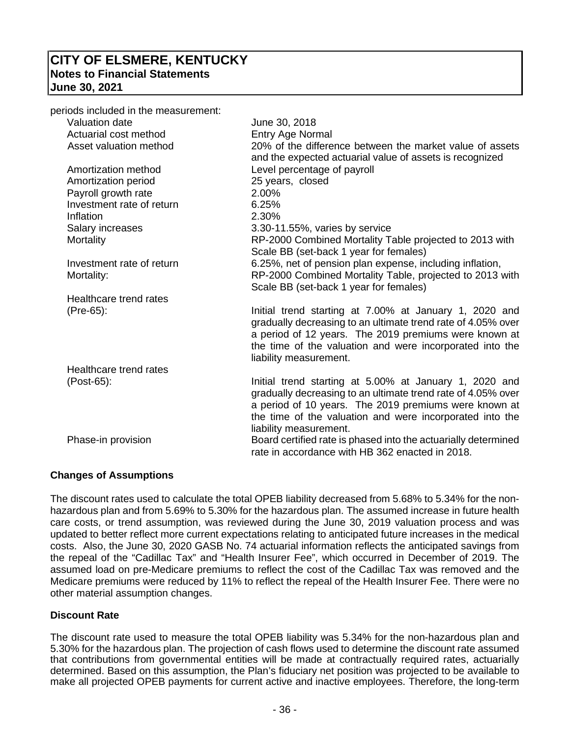| periods included in the measurement: |                                                                                                                   |
|--------------------------------------|-------------------------------------------------------------------------------------------------------------------|
| Valuation date                       | June 30, 2018                                                                                                     |
| Actuarial cost method                | Entry Age Normal                                                                                                  |
| Asset valuation method               | 20% of the difference between the market value of assets                                                          |
|                                      | and the expected actuarial value of assets is recognized                                                          |
| Amortization method                  | Level percentage of payroll                                                                                       |
| Amortization period                  | 25 years, closed                                                                                                  |
| Payroll growth rate                  | 2.00%                                                                                                             |
| Investment rate of return            | 6.25%                                                                                                             |
| Inflation                            | 2.30%                                                                                                             |
| Salary increases                     | 3.30-11.55%, varies by service                                                                                    |
| Mortality                            | RP-2000 Combined Mortality Table projected to 2013 with                                                           |
|                                      | Scale BB (set-back 1 year for females)                                                                            |
| Investment rate of return            | 6.25%, net of pension plan expense, including inflation,                                                          |
| Mortality:                           | RP-2000 Combined Mortality Table, projected to 2013 with                                                          |
|                                      | Scale BB (set-back 1 year for females)                                                                            |
| Healthcare trend rates               |                                                                                                                   |
| (Pre-65):                            | Initial trend starting at 7.00% at January 1, 2020 and                                                            |
|                                      | gradually decreasing to an ultimate trend rate of 4.05% over                                                      |
|                                      | a period of 12 years. The 2019 premiums were known at                                                             |
|                                      | the time of the valuation and were incorporated into the                                                          |
|                                      | liability measurement.                                                                                            |
| Healthcare trend rates               |                                                                                                                   |
| (Post-65):                           | Initial trend starting at 5.00% at January 1, 2020 and                                                            |
|                                      | gradually decreasing to an ultimate trend rate of 4.05% over                                                      |
|                                      | a period of 10 years. The 2019 premiums were known at                                                             |
|                                      | the time of the valuation and were incorporated into the                                                          |
|                                      | liability measurement.                                                                                            |
| Phase-in provision                   | Board certified rate is phased into the actuarially determined<br>rate in accordance with HB 362 enacted in 2018. |
|                                      |                                                                                                                   |

### **Changes of Assumptions**

The discount rates used to calculate the total OPEB liability decreased from 5.68% to 5.34% for the nonhazardous plan and from 5.69% to 5.30% for the hazardous plan. The assumed increase in future health care costs, or trend assumption, was reviewed during the June 30, 2019 valuation process and was updated to better reflect more current expectations relating to anticipated future increases in the medical costs. Also, the June 30, 2020 GASB No. 74 actuarial information reflects the anticipated savings from the repeal of the "Cadillac Tax" and "Health Insurer Fee", which occurred in December of 2019. The assumed load on pre-Medicare premiums to reflect the cost of the Cadillac Tax was removed and the Medicare premiums were reduced by 11% to reflect the repeal of the Health Insurer Fee. There were no other material assumption changes.

### **Discount Rate**

The discount rate used to measure the total OPEB liability was 5.34% for the non-hazardous plan and 5.30% for the hazardous plan. The projection of cash flows used to determine the discount rate assumed that contributions from governmental entities will be made at contractually required rates, actuarially determined. Based on this assumption, the Plan's fiduciary net position was projected to be available to make all projected OPEB payments for current active and inactive employees. Therefore, the long-term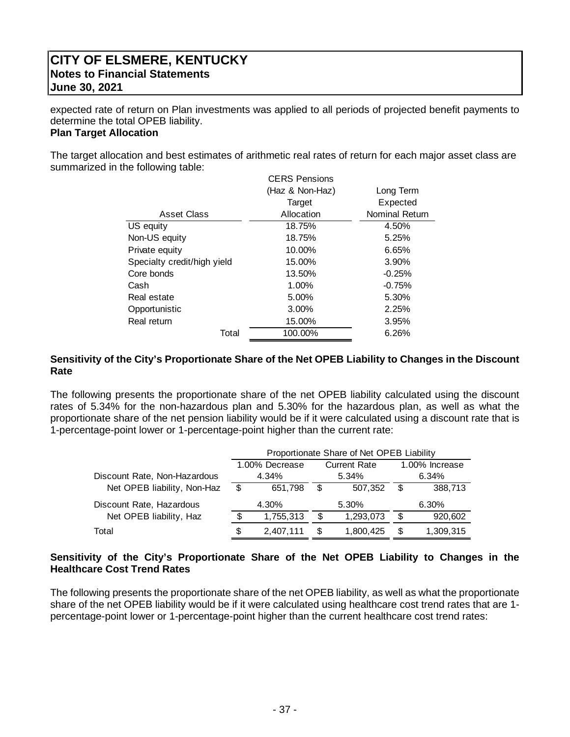expected rate of return on Plan investments was applied to all periods of projected benefit payments to determine the total OPEB liability.

### **Plan Target Allocation**

The target allocation and best estimates of arithmetic real rates of return for each major asset class are summarized in the following table:  $C = C$ 

|                             | <b>UERS PENSIONS</b> |                |
|-----------------------------|----------------------|----------------|
|                             | (Haz & Non-Haz)      | Long Term      |
|                             | Target               | Expected       |
| Asset Class                 | Allocation           | Nominal Return |
| US equity                   | 18.75%               | 4.50%          |
| Non-US equity               | 18.75%               | 5.25%          |
| Private equity              | 10.00%               | 6.65%          |
| Specialty credit/high yield | 15.00%               | 3.90%          |
| Core bonds                  | 13.50%               | $-0.25%$       |
| Cash                        | 1.00%                | $-0.75%$       |
| Real estate                 | 5.00%                | 5.30%          |
| Opportunistic               | 3.00%                | 2.25%          |
| Real return                 | 15.00%               | 3.95%          |
| Total                       | 100.00%              | 6.26%          |
|                             |                      |                |

### **Sensitivity of the City's Proportionate Share of the Net OPEB Liability to Changes in the Discount Rate**

The following presents the proportionate share of the net OPEB liability calculated using the discount rates of 5.34% for the non-hazardous plan and 5.30% for the hazardous plan, as well as what the proportionate share of the net pension liability would be if it were calculated using a discount rate that is 1-percentage-point lower or 1-percentage-point higher than the current rate:

|                              |     |                | Proportionate Share of Net OPEB Liability |                     |       |                |  |
|------------------------------|-----|----------------|-------------------------------------------|---------------------|-------|----------------|--|
|                              |     | 1.00% Decrease |                                           | <b>Current Rate</b> |       | 1.00% Increase |  |
| Discount Rate, Non-Hazardous |     | 4.34%          |                                           | 5.34%               | 6.34% |                |  |
| Net OPEB liability, Non-Haz  | \$  | 651,798        | \$                                        | 507,352             | \$.   | 388,713        |  |
| Discount Rate, Hazardous     |     | 4.30%          |                                           | 5.30%               |       | 6.30%          |  |
| Net OPEB liability, Haz      | \$. | 1,755,313      | S                                         | 1,293,073           | S     | 920,602        |  |
| Total                        | \$  | 2.407.111      |                                           | 1,800,425           |       | 1,309,315      |  |

### **Sensitivity of the City's Proportionate Share of the Net OPEB Liability to Changes in the Healthcare Cost Trend Rates**

The following presents the proportionate share of the net OPEB liability, as well as what the proportionate share of the net OPEB liability would be if it were calculated using healthcare cost trend rates that are 1 percentage-point lower or 1-percentage-point higher than the current healthcare cost trend rates: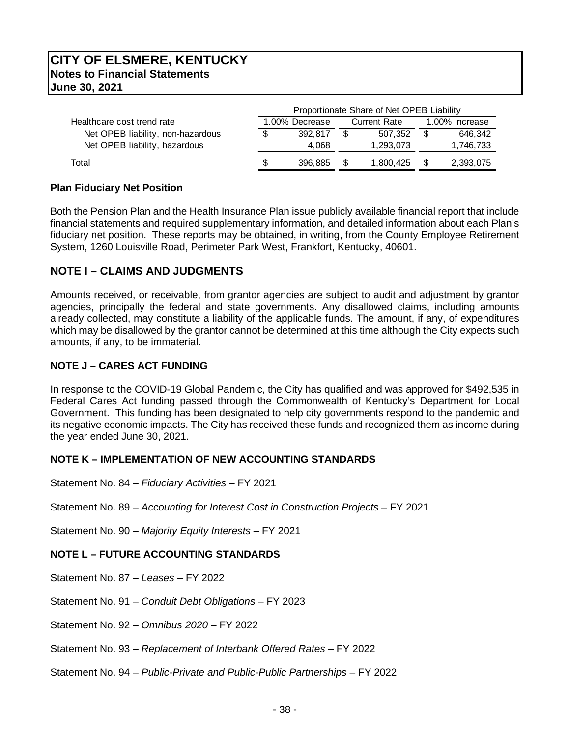|                                   |    | Proportionate Share of Net OPEB Liability |    |              |                |           |  |  |  |  |  |
|-----------------------------------|----|-------------------------------------------|----|--------------|----------------|-----------|--|--|--|--|--|
| Healthcare cost trend rate        |    | 1.00% Decrease                            |    | Current Rate | 1.00% Increase |           |  |  |  |  |  |
| Net OPEB liability, non-hazardous | æ. | 392.817                                   | -S | 507.352      |                | 646,342   |  |  |  |  |  |
| Net OPEB liability, hazardous     |    | 4.068                                     |    | 1,293,073    |                | 1,746,733 |  |  |  |  |  |
| Total                             | S  | 396,885                                   | \$ | 1,800,425    |                | 2,393,075 |  |  |  |  |  |

### **Plan Fiduciary Net Position**

Both the Pension Plan and the Health Insurance Plan issue publicly available financial report that include financial statements and required supplementary information, and detailed information about each Plan's fiduciary net position. These reports may be obtained, in writing, from the County Employee Retirement System, 1260 Louisville Road, Perimeter Park West, Frankfort, Kentucky, 40601.

### **NOTE I – CLAIMS AND JUDGMENTS**

Amounts received, or receivable, from grantor agencies are subject to audit and adjustment by grantor agencies, principally the federal and state governments. Any disallowed claims, including amounts already collected, may constitute a liability of the applicable funds. The amount, if any, of expenditures which may be disallowed by the grantor cannot be determined at this time although the City expects such amounts, if any, to be immaterial.

### **NOTE J – CARES ACT FUNDING**

In response to the COVID-19 Global Pandemic, the City has qualified and was approved for \$492,535 in Federal Cares Act funding passed through the Commonwealth of Kentucky's Department for Local Government. This funding has been designated to help city governments respond to the pandemic and its negative economic impacts. The City has received these funds and recognized them as income during the year ended June 30, 2021.

### **NOTE K – IMPLEMENTATION OF NEW ACCOUNTING STANDARDS**

Statement No. 84 – *Fiduciary Activities –* FY 2021

Statement No. 89 – *Accounting for Interest Cost in Construction Projects –* FY 2021

Statement No. 90 – *Majority Equity Interests* – FY 2021

### **NOTE L – FUTURE ACCOUNTING STANDARDS**

Statement No. 87 – *Leases –* FY 2022

Statement No. 91 – *Conduit Debt Obligations* – FY 2023

Statement No. 92 – *Omnibus 2020* – FY 2022

- Statement No. 93 *Replacement of Interbank Offered Rates* FY 2022
- Statement No. 94 *Public-Private and Public-Public Partnerships* FY 2022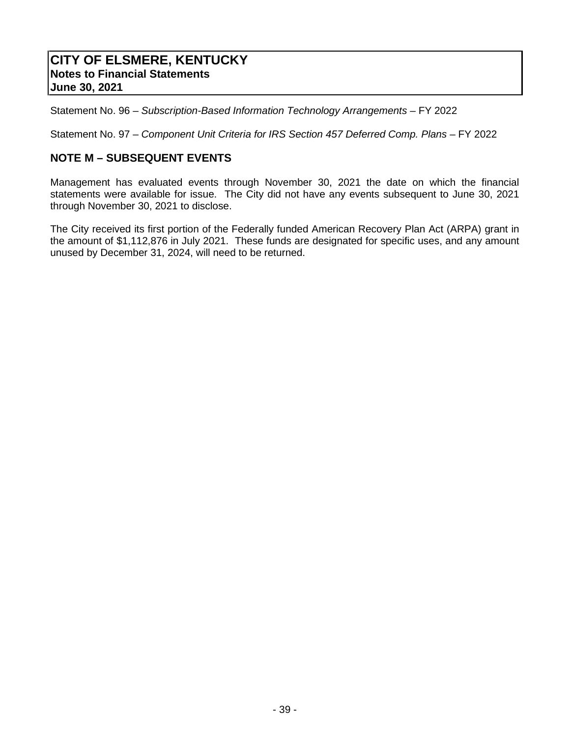Statement No. 96 - Subscription-Based Information Technology Arrangements - FY 2022

Statement No. 97 – *Component Unit Criteria for IRS Section 457 Deferred Comp. Plans* – FY 2022

### **NOTE M – SUBSEQUENT EVENTS**

Management has evaluated events through November 30, 2021 the date on which the financial statements were available for issue. The City did not have any events subsequent to June 30, 2021 through November 30, 2021 to disclose.

The City received its first portion of the Federally funded American Recovery Plan Act (ARPA) grant in the amount of \$1,112,876 in July 2021. These funds are designated for specific uses, and any amount unused by December 31, 2024, will need to be returned.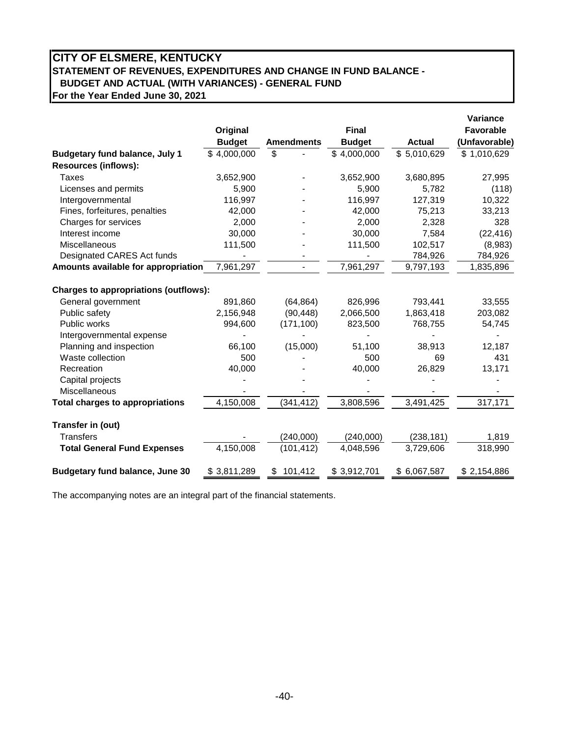### **CITY OF ELSMERE, KENTUCKY STATEMENT OF REVENUES, EXPENDITURES AND CHANGE IN FUND BALANCE - BUDGET AND ACTUAL (WITH VARIANCES) - GENERAL FUND For the Year Ended June 30, 2021**

|                                              |               |                   |               |               | Variance         |
|----------------------------------------------|---------------|-------------------|---------------|---------------|------------------|
|                                              | Original      |                   | <b>Final</b>  |               | <b>Favorable</b> |
|                                              | <b>Budget</b> | <b>Amendments</b> | <b>Budget</b> | <b>Actual</b> | (Unfavorable)    |
| <b>Budgetary fund balance, July 1</b>        | \$4,000,000   | \$                | \$4,000,000   | \$5,010,629   | \$1,010,629      |
| <b>Resources (inflows):</b>                  |               |                   |               |               |                  |
| Taxes                                        | 3,652,900     |                   | 3,652,900     | 3,680,895     | 27,995           |
| Licenses and permits                         | 5,900         |                   | 5,900         | 5,782         | (118)            |
| Intergovernmental                            | 116,997       |                   | 116,997       | 127,319       | 10,322           |
| Fines, forfeitures, penalties                | 42,000        |                   | 42,000        | 75,213        | 33,213           |
| Charges for services                         | 2,000         |                   | 2,000         | 2,328         | 328              |
| Interest income                              | 30,000        |                   | 30,000        | 7,584         | (22, 416)        |
| Miscellaneous                                | 111,500       |                   | 111,500       | 102,517       | (8,983)          |
| Designated CARES Act funds                   |               |                   |               | 784,926       | 784,926          |
| Amounts available for appropriation          | 7,961,297     |                   | 7,961,297     | 9,797,193     | 1,835,896        |
| <b>Charges to appropriations (outflows):</b> |               |                   |               |               |                  |
| General government                           | 891,860       | (64, 864)         | 826,996       | 793,441       | 33,555           |
| Public safety                                | 2,156,948     | (90, 448)         | 2,066,500     | 1,863,418     | 203,082          |
| Public works                                 | 994,600       | (171, 100)        | 823,500       | 768,755       | 54,745           |
| Intergovernmental expense                    |               |                   |               |               |                  |
| Planning and inspection                      | 66,100        | (15,000)          | 51,100        | 38,913        | 12,187           |
| Waste collection                             | 500           |                   | 500           | 69            | 431              |
| Recreation                                   | 40,000        |                   | 40,000        | 26,829        | 13,171           |
| Capital projects                             |               |                   |               |               |                  |
| Miscellaneous                                |               |                   |               |               |                  |
| <b>Total charges to appropriations</b>       | 4,150,008     | (341, 412)        | 3,808,596     | 3,491,425     | 317,171          |
| Transfer in (out)                            |               |                   |               |               |                  |
| <b>Transfers</b>                             |               | (240,000)         | (240,000)     | (238, 181)    | 1,819            |
| <b>Total General Fund Expenses</b>           | 4,150,008     | (101, 412)        | 4,048,596     | 3,729,606     | 318,990          |
| <b>Budgetary fund balance, June 30</b>       | \$3,811,289   | 101,412<br>\$     | \$3,912,701   | \$6,067,587   | \$2,154,886      |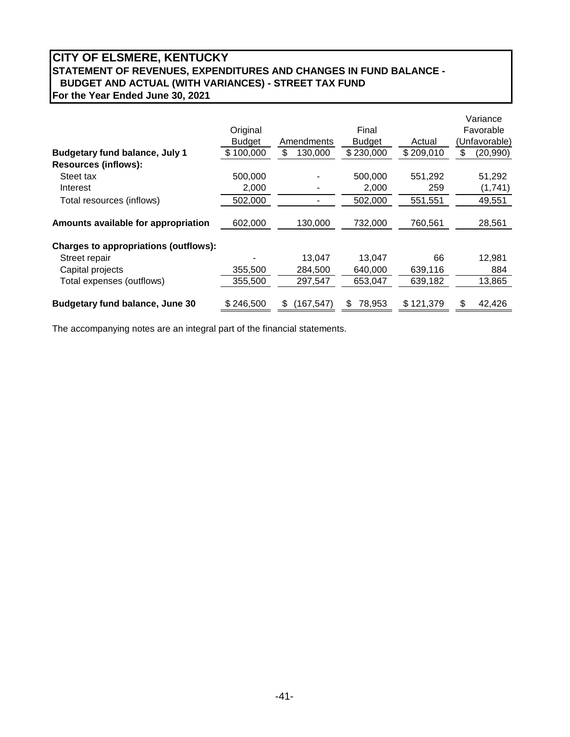### **CITY OF ELSMERE, KENTUCKY STATEMENT OF REVENUES, EXPENDITURES AND CHANGES IN FUND BALANCE - BUDGET AND ACTUAL (WITH VARIANCES) - STREET TAX FUND For the Year Ended June 30, 2021**

|                                        |               |                  |               |           | Variance        |
|----------------------------------------|---------------|------------------|---------------|-----------|-----------------|
|                                        | Original      |                  | Final         |           | Favorable       |
|                                        | <b>Budget</b> | Amendments       | <b>Budget</b> | Actual    | (Unfavorable)   |
| <b>Budgetary fund balance, July 1</b>  | \$100,000     | \$<br>130,000    | \$230,000     | \$209,010 | \$<br>(20, 990) |
| <b>Resources (inflows):</b>            |               |                  |               |           |                 |
| Steet tax                              | 500,000       |                  | 500,000       | 551,292   | 51,292          |
| Interest                               | 2,000         |                  | 2,000         | 259       | (1,741)         |
| Total resources (inflows)              | 502,000       |                  | 502,000       | 551,551   | 49,551          |
| Amounts available for appropriation    | 602,000       | 130,000          | 732,000       | 760,561   | 28,561          |
| Charges to appropriations (outflows):  |               |                  |               |           |                 |
| Street repair                          |               | 13,047           | 13,047        | 66        | 12,981          |
| Capital projects                       | 355,500       | 284.500          | 640,000       | 639,116   | 884             |
| Total expenses (outflows)              | 355,500       | 297,547          | 653,047       | 639,182   | 13,865          |
| <b>Budgetary fund balance, June 30</b> | \$246,500     | (167, 547)<br>S. | 78,953<br>\$  | \$121,379 | \$<br>42,426    |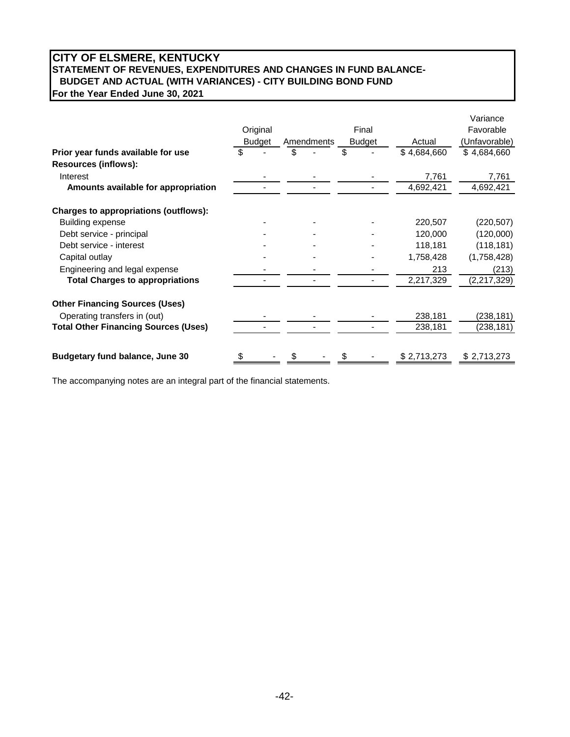### **CITY OF ELSMERE, KENTUCKY STATEMENT OF REVENUES, EXPENDITURES AND CHANGES IN FUND BALANCE-BUDGET AND ACTUAL (WITH VARIANCES) - CITY BUILDING BOND FUND For the Year Ended June 30, 2021**

|                                              |               |  |            |               |             | Variance      |  |
|----------------------------------------------|---------------|--|------------|---------------|-------------|---------------|--|
|                                              | Original      |  |            | Final         |             | Favorable     |  |
|                                              | <b>Budget</b> |  | Amendments | <b>Budget</b> | Actual      | (Unfavorable) |  |
| Prior year funds available for use           |               |  |            |               | \$4,684,660 | \$4,684,660   |  |
| <b>Resources (inflows):</b>                  |               |  |            |               |             |               |  |
| Interest                                     |               |  |            |               | 7,761       | 7,761         |  |
| Amounts available for appropriation          |               |  |            |               | 4,692,421   | 4,692,421     |  |
| <b>Charges to appropriations (outflows):</b> |               |  |            |               |             |               |  |
| <b>Building expense</b>                      |               |  |            |               | 220,507     | (220,507)     |  |
| Debt service - principal                     |               |  |            |               | 120,000     | (120,000)     |  |
| Debt service - interest                      |               |  |            |               | 118,181     | (118, 181)    |  |
| Capital outlay                               |               |  |            |               | 1,758,428   | (1,758,428)   |  |
| Engineering and legal expense                |               |  |            |               | 213         | (213)         |  |
| <b>Total Charges to appropriations</b>       |               |  |            |               | 2,217,329   | (2, 217, 329) |  |
| <b>Other Financing Sources (Uses)</b>        |               |  |            |               |             |               |  |
| Operating transfers in (out)                 |               |  |            |               | 238,181     | (238,181)     |  |
| <b>Total Other Financing Sources (Uses)</b>  |               |  |            |               | 238,181     | (238, 181)    |  |
|                                              |               |  |            |               |             |               |  |
| <b>Budgetary fund balance, June 30</b>       |               |  |            |               | \$2,713,273 | \$2,713,273   |  |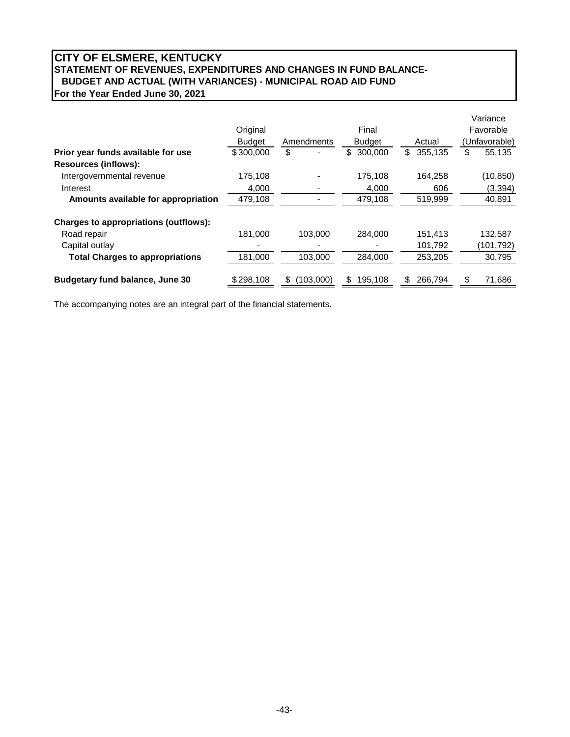### **CITY OF ELSMERE, KENTUCKY STATEMENT OF REVENUES, EXPENDITURES AND CHANGES IN FUND BALANCE-BUDGET AND ACTUAL (WITH VARIANCES) - MUNICIPAL ROAD AID FUND**

**For the Year Ended June 30, 2021**

|               |                |               |               | Variance      |
|---------------|----------------|---------------|---------------|---------------|
| Original      |                | Final         |               | Favorable     |
| <b>Budget</b> | Amendments     | <b>Budget</b> | Actual        | (Unfavorable) |
| \$300,000     | \$             | 300,000<br>\$ | \$<br>355,135 | \$<br>55,135  |
|               |                |               |               |               |
| 175,108       |                | 175.108       | 164,258       | (10, 850)     |
| 4,000         |                | 4,000         | 606           | (3, 394)      |
| 479,108       |                | 479,108       | 519,999       | 40,891        |
|               |                |               |               |               |
| 181,000       | 103.000        | 284.000       | 151,413       | 132,587       |
|               |                |               | 101,792       | (101,792)     |
| 181,000       | 103,000        | 284,000       | 253,205       | 30,795        |
| \$298,108     | S<br>(103,000) | \$<br>195,108 | 266,794<br>\$ | \$<br>71,686  |
|               |                |               |               |               |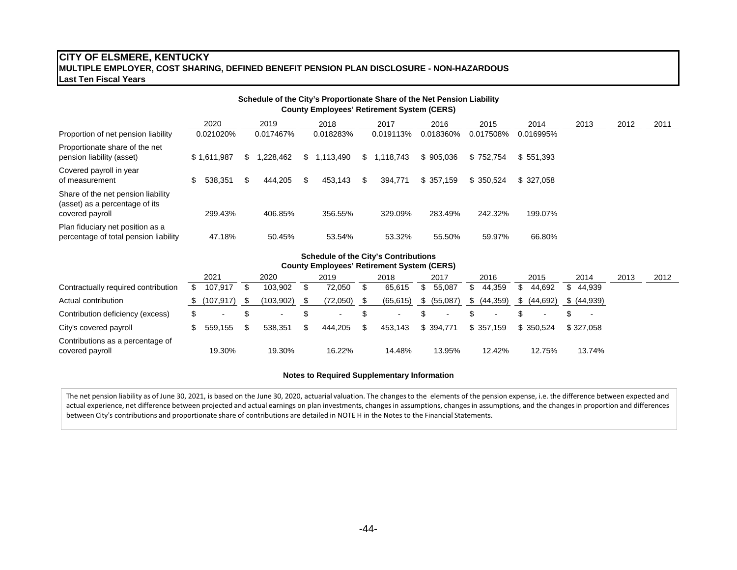#### **CITY OF ELSMERE, KENTUCKY MULTIPLE EMPLOYER, COST SHARING, DEFINED BENEFIT PENSION PLAN DISCLOSURE - NON-HAZARDOUS Last Ten Fiscal Years**

| Schedule of the City's Proportionate Share of the Net Pension Liability<br><b>County Employees' Retirement System (CERS)</b> |               |    |           |     |           |     |           |           |           |           |      |      |      |
|------------------------------------------------------------------------------------------------------------------------------|---------------|----|-----------|-----|-----------|-----|-----------|-----------|-----------|-----------|------|------|------|
|                                                                                                                              | 2020          |    | 2019      |     | 2018      |     | 2017      | 2016      | 2015      | 2014      | 2013 | 2012 | 2011 |
| Proportion of net pension liability                                                                                          | 0.021020%     |    | 0.017467% |     | 0.018283% |     | 0.019113% | 0.018360% | 0.017508% | 0.016995% |      |      |      |
| Proportionate share of the net<br>pension liability (asset)                                                                  | \$1.611.987   | S. | .228,462  | S.  | 1.113.490 | SS. | 1.118.743 | \$905.036 | \$752.754 | \$551.393 |      |      |      |
| Covered payroll in year<br>of measurement                                                                                    | \$<br>538,351 | S. | 444.205   | \$. | 453,143   | \$. | 394.771   | \$357.159 | \$350.524 | \$327.058 |      |      |      |
| Share of the net pension liability<br>(asset) as a percentage of its<br>covered payroll                                      | 299.43%       |    | 406.85%   |     | 356.55%   |     | 329.09%   | 283.49%   | 242.32%   | 199.07%   |      |      |      |
| Plan fiduciary net position as a<br>percentage of total pension liability                                                    | 47.18%        |    | 50.45%    |     | 53.54%    |     | 53.32%    | 55.50%    | 59.97%    | 66.80%    |      |      |      |
|                                                                                                                              |               |    |           |     |           |     |           |           |           |           |      |      |      |

#### **Schedule of the City's Contributions County Employees' Retirement System (CERS)**

|                                                     |    | 2021      | 2020       | 2019     | 2018           | 2017        | 2016      | 2015      | 2014                     | 2013 | 2012 |
|-----------------------------------------------------|----|-----------|------------|----------|----------------|-------------|-----------|-----------|--------------------------|------|------|
| Contractually required contribution                 | Æ. | 107.917   | 103.902    | 72.050   | 65.615         | 55.087      | 44.359    | 44.692    | 44.939                   |      |      |
| Actual contribution                                 |    | (107,917) | (103, 902) | (72,050) | (65, 615)      | \$ (55,087) | (44,359)  | (44, 692) | \$ (44,939)              |      |      |
| Contribution deficiency (excess)                    |    |           |            |          | $\blacksquare$ |             |           |           | $\overline{\phantom{a}}$ |      |      |
| City's covered payroll                              |    | 559.155   | 538.351    | 444.205  | 453.143        | \$394.771   | \$357.159 | \$350.524 | \$327.058                |      |      |
| Contributions as a percentage of<br>covered payroll |    | 19.30%    | 19.30%     | 16.22%   | 14.48%         | 13.95%      | 12.42%    | 12.75%    | 13.74%                   |      |      |

#### **Notes to Required Supplementary Information**

The net pension liability as of June 30, 2021, is based on the June 30, 2020, actuarial valuation. The changes to the elements of the pension expense, i.e. the difference between expected and actual experience, net difference between projected and actual earnings on plan investments, changes in assumptions, changes in assumptions, and the changes in proportion and differences between City's contributions and proportionate share of contributions are detailed in NOTE H in the Notes to the Financial Statements.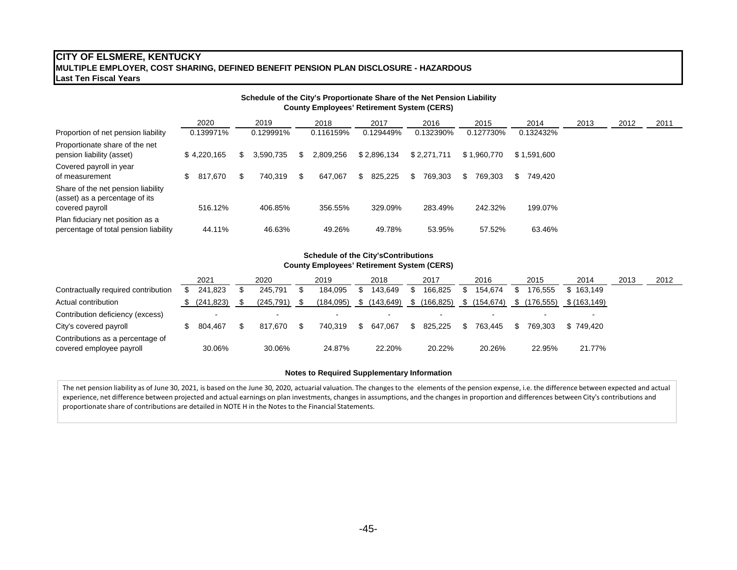#### **CITY OF ELSMERE, KENTUCKY MULTIPLE EMPLOYER, COST SHARING, DEFINED BENEFIT PENSION PLAN DISCLOSURE - HAZARDOUS Last Ten Fiscal Years**

|                                                                                         | Schedule of the City's Proportionate Share of the Net Pension Liability<br><b>County Employees' Retirement System (CERS)</b> |    |           |   |           |             |               |               |                |      |      |      |  |  |
|-----------------------------------------------------------------------------------------|------------------------------------------------------------------------------------------------------------------------------|----|-----------|---|-----------|-------------|---------------|---------------|----------------|------|------|------|--|--|
|                                                                                         | 2020                                                                                                                         |    | 2019      |   | 2018      | 2017        | 2016          | 2015          | 2014           | 2013 | 2012 | 2011 |  |  |
| Proportion of net pension liability                                                     | 0.139971%                                                                                                                    |    | 0.129991% |   | 0.116159% | 0.129449%   | 0.132390%     | 0.127730%     | 0.132432%      |      |      |      |  |  |
| Proportionate share of the net<br>pension liability (asset)                             | \$4.220.165                                                                                                                  | \$ | 3.590.735 | S | 2.809.256 | \$2.896.134 | \$2.271.711   | \$1.960.770   | \$1,591,600    |      |      |      |  |  |
| Covered payroll in year<br>of measurement                                               | \$<br>817.670                                                                                                                | \$ | 740.319   | S | 647.067   | 825.225     | 769.303<br>Ъ. | 769.303<br>S. | 749.420<br>\$. |      |      |      |  |  |
| Share of the net pension liability<br>(asset) as a percentage of its<br>covered payroll | 516.12%                                                                                                                      |    | 406.85%   |   | 356.55%   | 329.09%     | 283.49%       | 242.32%       | 199.07%        |      |      |      |  |  |
| Plan fiduciary net position as a<br>percentage of total pension liability               | 44.11%                                                                                                                       |    | 46.63%    |   | 49.26%    | 49.78%      | 53.95%        | 57.52%        | 63.46%         |      |      |      |  |  |

#### **Schedule of the City'sContributions County Employees' Retirement System (CERS)**

|                                                              | 2021       | 2020      | 2019      | 2018      | 2017         |   | 2016      | 2015      | 2014         | 2013 | 2012 |
|--------------------------------------------------------------|------------|-----------|-----------|-----------|--------------|---|-----------|-----------|--------------|------|------|
| Contractually required contribution                          | 241.823    | 245.791   | 184.095   | 143.649   | 166.825      | S | 154.674   | 176.555   | \$163.149    |      |      |
| Actual contribution                                          | (241, 823) | (245,791) | (184,095) | (143,649) | \$(166, 825) |   | (154,674) | (176.555) | \$(163, 149) |      |      |
| Contribution deficiency (excess)                             |            | . .       |           |           | -            |   |           |           |              |      |      |
| City's covered payroll                                       | 804.467    | 817.670   | 740.319   | 647.067   | 825.225      |   | 763.445   | 769.303   | \$749.420    |      |      |
| Contributions as a percentage of<br>covered employee payroll | 30.06%     | 30.06%    | 24.87%    | 22.20%    | 20.22%       |   | 20.26%    | 22.95%    | 21.77%       |      |      |

#### **Notes to Required Supplementary Information**

The net pension liability as of June 30, 2021, is based on the June 30, 2020, actuarial valuation. The changes to the elements of the pension expense, i.e. the difference between expected and actual experience, net difference between projected and actual earnings on plan investments, changes in assumptions, and the changes in proportion and differences between City's contributions and proportionate share of contributions are detailed in NOTE H in the Notes to the Financial Statements.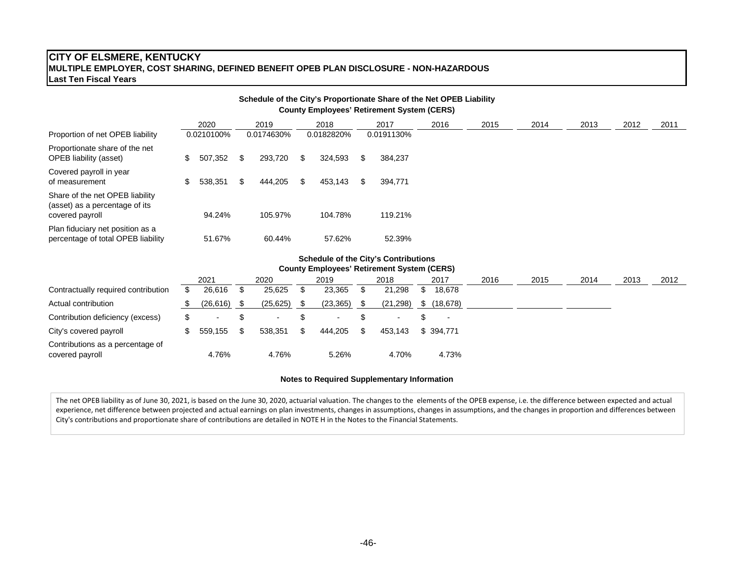### **CITY OF ELSMERE, KENTUCKY MULTIPLE EMPLOYER, COST SHARING, DEFINED BENEFIT OPEB PLAN DISCLOSURE - NON-HAZARDOUS Last Ten Fiscal Years**

covered payroll 4.76% 4.76% 5.26% 4.70% 4.73%

|                                                                                      |    |            |      |            |      |            |                    | Schedule of the City's Proportionate Share of the Net OPEB Liability<br><b>County Employees' Retirement System (CERS)</b> |    |           |      |      |      |      |      |
|--------------------------------------------------------------------------------------|----|------------|------|------------|------|------------|--------------------|---------------------------------------------------------------------------------------------------------------------------|----|-----------|------|------|------|------|------|
|                                                                                      |    | 2020       |      | 2019       | 2018 |            | 2017<br>0.0191130% |                                                                                                                           |    | 2016      | 2015 | 2014 | 2013 | 2012 | 2011 |
| Proportion of net OPEB liability                                                     |    | 0.0210100% |      | 0.0174630% |      | 0.0182820% |                    |                                                                                                                           |    |           |      |      |      |      |      |
| Proportionate share of the net<br><b>OPEB</b> liability (asset)                      | S  | 507,352    | - \$ | 293,720    | S    | 324,593    | S                  | 384,237                                                                                                                   |    |           |      |      |      |      |      |
| Covered payroll in year<br>of measurement                                            | \$ | 538,351    | \$   | 444,205    | \$   | 453,143    | \$                 | 394,771                                                                                                                   |    |           |      |      |      |      |      |
| Share of the net OPEB liability<br>(asset) as a percentage of its<br>covered payroll |    | 94.24%     |      | 105.97%    |      | 104.78%    |                    | 119.21%                                                                                                                   |    |           |      |      |      |      |      |
| Plan fiduciary net position as a<br>percentage of total OPEB liability               |    | 51.67%     |      | 60.44%     |      | 57.62%     |                    | 52.39%                                                                                                                    |    |           |      |      |      |      |      |
|                                                                                      |    |            |      |            |      |            |                    | <b>Schedule of the City's Contributions</b><br><b>County Employees' Retirement System (CERS)</b>                          |    |           |      |      |      |      |      |
|                                                                                      |    | 2021       |      | 2020       |      | 2019       |                    | 2018                                                                                                                      |    | 2017      | 2016 | 2015 | 2014 | 2013 | 2012 |
| Contractually required contribution                                                  | \$ | 26,616     | \$   | 25,625     | \$   | 23,365     | \$                 | 21,298                                                                                                                    | \$ | 18,678    |      |      |      |      |      |
| Actual contribution                                                                  |    | (26,616)   | \$   | (25, 625)  | \$   | (23, 365)  | \$                 | (21, 298)                                                                                                                 | S. | (18, 678) |      |      |      |      |      |
| Contribution deficiency (excess)                                                     | \$ |            | \$   |            | \$   |            | \$.                |                                                                                                                           | S. |           |      |      |      |      |      |
| City's covered payroll                                                               | \$ | 559,155    | \$   | 538,351    | \$   | 444,205    | \$                 | 453,143                                                                                                                   |    | \$394,771 |      |      |      |      |      |
| Contributions as a percentage of                                                     |    |            |      |            |      |            |                    |                                                                                                                           |    |           |      |      |      |      |      |

#### **Notes to Required Supplementary Information**

The net OPEB liability as of June 30, 2021, is based on the June 30, 2020, actuarial valuation. The changes to the elements of the OPEB expense, i.e. the difference between expected and actual experience, net difference between projected and actual earnings on plan investments, changes in assumptions, changes in assumptions, and the changes in proportion and differences between City's contributions and proportionate share of contributions are detailed in NOTE H in the Notes to the Financial Statements.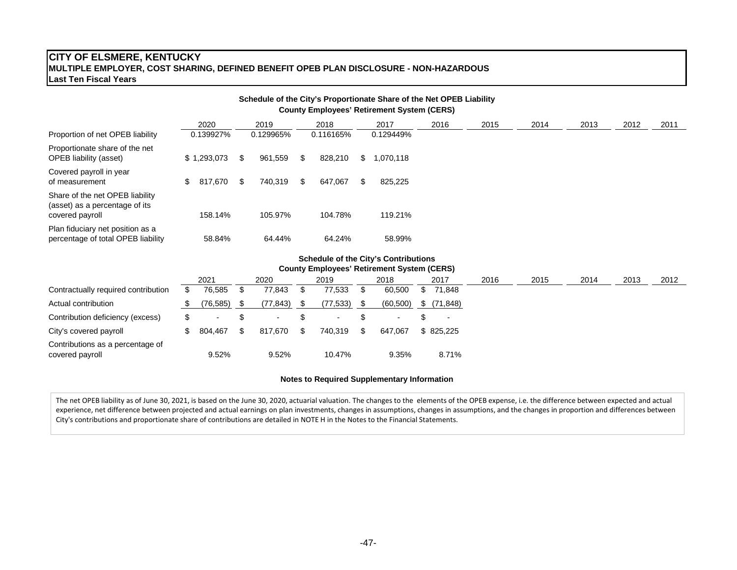### **CITY OF ELSMERE, KENTUCKY MULTIPLE EMPLOYER, COST SHARING, DEFINED BENEFIT OPEB PLAN DISCLOSURE - NON-HAZARDOUS Last Ten Fiscal Years**

|                                                                                      |     |             |    |           |     |           |     | Schedule of the City's Proportionate Share of the Net OPEB Liability<br><b>County Employees' Retirement System (CERS)</b> |     |          |      |      |      |      |      |
|--------------------------------------------------------------------------------------|-----|-------------|----|-----------|-----|-----------|-----|---------------------------------------------------------------------------------------------------------------------------|-----|----------|------|------|------|------|------|
|                                                                                      |     | 2020        |    | 2019      |     | 2018      |     | 2017                                                                                                                      |     | 2016     | 2015 | 2014 | 2013 | 2012 | 2011 |
| Proportion of net OPEB liability                                                     |     | 0.139927%   |    | 0.129965% |     | 0.116165% |     | 0.129449%                                                                                                                 |     |          |      |      |      |      |      |
| Proportionate share of the net<br><b>OPEB liability (asset)</b>                      |     | \$1,293,073 | S  | 961,559   | \$. | 828,210   | \$  | 070,118                                                                                                                   |     |          |      |      |      |      |      |
| Covered payroll in year<br>of measurement                                            | \$  | 817,670     | S  | 740,319   | S   | 647,067   | \$. | 825,225                                                                                                                   |     |          |      |      |      |      |      |
| Share of the net OPEB liability<br>(asset) as a percentage of its<br>covered payroll |     | 158.14%     |    | 105.97%   |     | 104.78%   |     | 119.21%                                                                                                                   |     |          |      |      |      |      |      |
| Plan fiduciary net position as a<br>percentage of total OPEB liability               |     | 58.84%      |    | 64.44%    |     | 64.24%    |     | 58.99%                                                                                                                    |     |          |      |      |      |      |      |
|                                                                                      |     |             |    |           |     |           |     | <b>Schedule of the City's Contributions</b><br><b>County Employees' Retirement System (CERS)</b>                          |     |          |      |      |      |      |      |
|                                                                                      |     | 2021        |    | 2020      |     | 2019      |     | 2018                                                                                                                      |     | 2017     | 2016 | 2015 | 2014 | 2013 | 2012 |
| Contractually required contribution                                                  | \$. | 76,585      | \$ | 77,843    | \$  | 77,533    | \$  | 60,500                                                                                                                    | \$  | 71,848   |      |      |      |      |      |
| Actual contribution                                                                  | S   | (76.585)    | -S | (77.843)  | \$. | (77.533)  | \$. | (60.500)                                                                                                                  | \$. | (71.848) |      |      |      |      |      |

| S.<br>$\mathbb{S}$<br>$\sim$ S $\sim$<br>$\sim$ S<br>$\sim$<br>$\sim$<br>$\sim$<br>$\overline{\phantom{a}}$<br>817.670<br>740.319<br>804.467<br>647.067<br>\$ 825.225<br>S S<br>S.<br>S.<br>10.47%<br>9.52%<br>9.52%<br>9.35%<br>8.71% |                                                     |  |  |  |  |  |
|----------------------------------------------------------------------------------------------------------------------------------------------------------------------------------------------------------------------------------------|-----------------------------------------------------|--|--|--|--|--|
|                                                                                                                                                                                                                                        | Contribution deficiency (excess)                    |  |  |  |  |  |
|                                                                                                                                                                                                                                        | City's covered payroll                              |  |  |  |  |  |
|                                                                                                                                                                                                                                        | Contributions as a percentage of<br>covered payroll |  |  |  |  |  |

#### **Notes to Required Supplementary Information**

The net OPEB liability as of June 30, 2021, is based on the June 30, 2020, actuarial valuation. The changes to the elements of the OPEB expense, i.e. the difference between expected and actual experience, net difference between projected and actual earnings on plan investments, changes in assumptions, changes in assumptions, and the changes in proportion and differences between City's contributions and proportionate share of contributions are detailed in NOTE H in the Notes to the Financial Statements.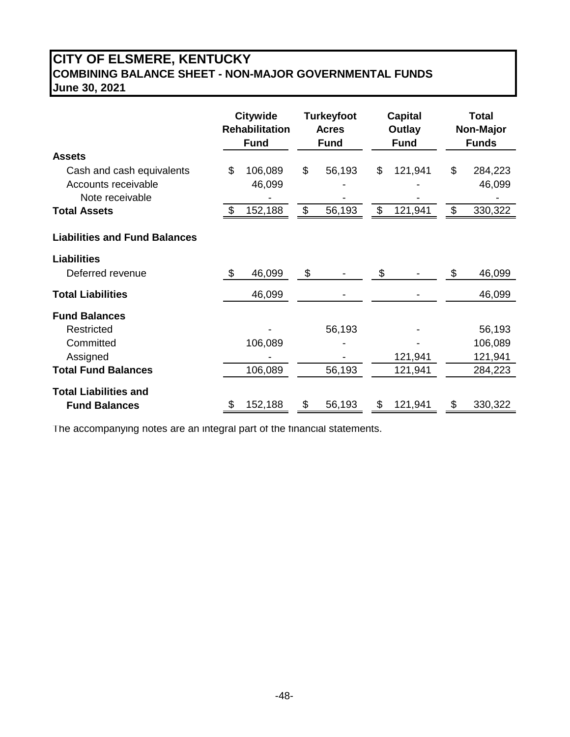# **CITY OF ELSMERE, KENTUCKY COMBINING BALANCE SHEET - NON-MAJOR GOVERNMENTAL FUNDS June 30, 2021**

|                                                                     | <b>Citywide</b><br><b>Rehabilitation</b><br><b>Fund</b> |                   |       | <b>Turkeyfoot</b><br><b>Acres</b><br><b>Fund</b> | <b>Capital</b><br>Outlay<br><b>Fund</b> | <b>Total</b><br>Non-Major<br><b>Funds</b> |                   |  |
|---------------------------------------------------------------------|---------------------------------------------------------|-------------------|-------|--------------------------------------------------|-----------------------------------------|-------------------------------------------|-------------------|--|
| <b>Assets</b>                                                       |                                                         |                   |       |                                                  |                                         |                                           |                   |  |
| Cash and cash equivalents<br>Accounts receivable<br>Note receivable | \$                                                      | 106,089<br>46,099 | \$    | 56,193                                           | \$<br>121,941                           | \$                                        | 284,223<br>46,099 |  |
| <b>Total Assets</b>                                                 | £.                                                      | 152,188           | $\$\$ | 56,193                                           | \$<br>121,941                           | \$                                        | 330,322           |  |
| <b>Liabilities and Fund Balances</b>                                |                                                         |                   |       |                                                  |                                         |                                           |                   |  |
| <b>Liabilities</b>                                                  |                                                         |                   |       |                                                  |                                         |                                           |                   |  |
| Deferred revenue                                                    | \$.                                                     | 46,099            | \$    |                                                  | \$                                      | \$                                        | 46,099            |  |
| <b>Total Liabilities</b>                                            |                                                         | 46,099            |       |                                                  |                                         |                                           | 46,099            |  |
| <b>Fund Balances</b>                                                |                                                         |                   |       |                                                  |                                         |                                           |                   |  |
| <b>Restricted</b>                                                   |                                                         |                   |       | 56,193                                           |                                         |                                           | 56,193            |  |
| Committed                                                           |                                                         | 106,089           |       |                                                  |                                         |                                           | 106,089           |  |
| Assigned                                                            |                                                         |                   |       |                                                  | 121,941                                 |                                           | 121,941           |  |
| <b>Total Fund Balances</b>                                          |                                                         | 106,089           |       | 56,193                                           | 121,941                                 |                                           | 284,223           |  |
| <b>Total Liabilities and</b>                                        |                                                         |                   |       |                                                  |                                         |                                           |                   |  |
| <b>Fund Balances</b>                                                |                                                         | 152,188           | \$    | 56,193                                           | \$<br>121,941                           | \$                                        | 330,322           |  |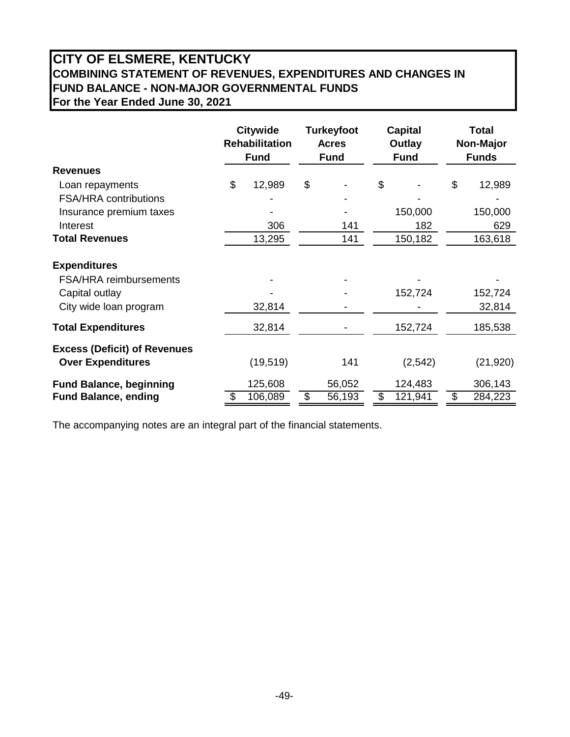# **CITY OF ELSMERE, KENTUCKY COMBINING STATEMENT OF REVENUES, EXPENDITURES AND CHANGES IN FUND BALANCE - NON-MAJOR GOVERNMENTAL FUNDS For the Year Ended June 30, 2021**

|                                     |    | <b>Citywide</b><br><b>Rehabilitation</b><br><b>Fund</b> | <b>Turkeyfoot</b><br><b>Acres</b><br><b>Fund</b> | <b>Capital</b><br>Outlay<br><b>Fund</b> | <b>Total</b><br><b>Non-Major</b><br><b>Funds</b> |           |  |
|-------------------------------------|----|---------------------------------------------------------|--------------------------------------------------|-----------------------------------------|--------------------------------------------------|-----------|--|
| <b>Revenues</b>                     |    |                                                         |                                                  |                                         |                                                  |           |  |
| Loan repayments                     | \$ | 12,989                                                  | \$                                               | \$                                      | \$                                               | 12,989    |  |
| <b>FSA/HRA contributions</b>        |    |                                                         |                                                  |                                         |                                                  |           |  |
| Insurance premium taxes             |    |                                                         |                                                  | 150,000                                 |                                                  | 150,000   |  |
| Interest                            |    | 306                                                     | 141                                              | 182                                     |                                                  | 629       |  |
| <b>Total Revenues</b>               |    | 13,295                                                  | 141                                              | 150,182                                 |                                                  | 163,618   |  |
| <b>Expenditures</b>                 |    |                                                         |                                                  |                                         |                                                  |           |  |
| <b>FSA/HRA reimbursements</b>       |    |                                                         |                                                  |                                         |                                                  |           |  |
| Capital outlay                      |    |                                                         |                                                  | 152,724                                 |                                                  | 152,724   |  |
| City wide loan program              |    | 32,814                                                  |                                                  |                                         |                                                  | 32,814    |  |
| <b>Total Expenditures</b>           |    | 32,814                                                  |                                                  | 152,724                                 |                                                  | 185,538   |  |
| <b>Excess (Deficit) of Revenues</b> |    |                                                         |                                                  |                                         |                                                  |           |  |
| <b>Over Expenditures</b>            |    | (19, 519)                                               | 141                                              | (2,542)                                 |                                                  | (21, 920) |  |
| <b>Fund Balance, beginning</b>      |    | 125,608                                                 | 56,052                                           | 124,483                                 |                                                  | 306,143   |  |
| <b>Fund Balance, ending</b>         | S  | 106,089                                                 | \$<br>56,193                                     | \$<br>121,941                           | \$                                               | 284,223   |  |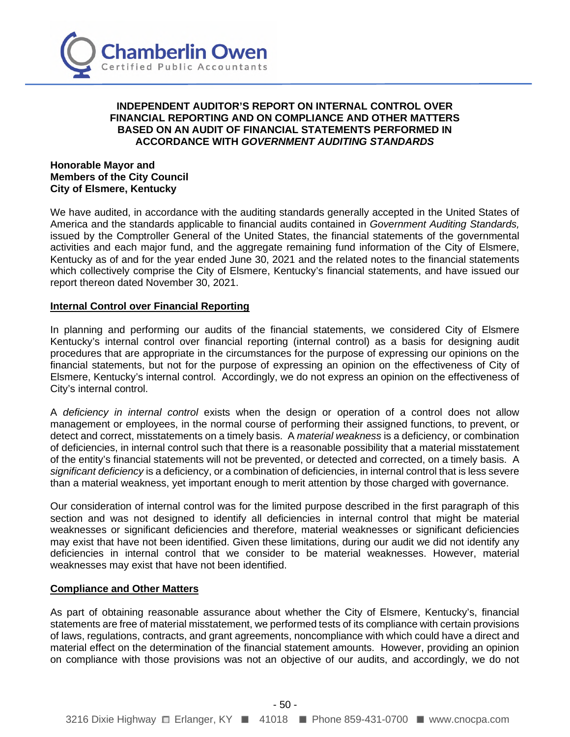

### **INDEPENDENT AUDITOR'S REPORT ON INTERNAL CONTROL OVER FINANCIAL REPORTING AND ON COMPLIANCE AND OTHER MATTERS BASED ON AN AUDIT OF FINANCIAL STATEMENTS PERFORMED IN ACCORDANCE WITH** *GOVERNMENT AUDITING STANDARDS*

#### **Honorable Mayor and Members of the City Council City of Elsmere, Kentucky**

We have audited, in accordance with the auditing standards generally accepted in the United States of America and the standards applicable to financial audits contained in *Government Auditing Standards,* issued by the Comptroller General of the United States, the financial statements of the governmental activities and each major fund, and the aggregate remaining fund information of the City of Elsmere, Kentucky as of and for the year ended June 30, 2021 and the related notes to the financial statements which collectively comprise the City of Elsmere, Kentucky's financial statements, and have issued our report thereon dated November 30, 2021.

### **Internal Control over Financial Reporting**

In planning and performing our audits of the financial statements, we considered City of Elsmere Kentucky's internal control over financial reporting (internal control) as a basis for designing audit procedures that are appropriate in the circumstances for the purpose of expressing our opinions on the financial statements, but not for the purpose of expressing an opinion on the effectiveness of City of Elsmere, Kentucky's internal control. Accordingly, we do not express an opinion on the effectiveness of City's internal control.

A *deficiency in internal control* exists when the design or operation of a control does not allow management or employees, in the normal course of performing their assigned functions, to prevent, or detect and correct, misstatements on a timely basis. A *material weakness* is a deficiency, or combination of deficiencies, in internal control such that there is a reasonable possibility that a material misstatement of the entity's financial statements will not be prevented, or detected and corrected, on a timely basis. A *significant deficiency* is a deficiency, or a combination of deficiencies, in internal control that is less severe than a material weakness, yet important enough to merit attention by those charged with governance.

Our consideration of internal control was for the limited purpose described in the first paragraph of this section and was not designed to identify all deficiencies in internal control that might be material weaknesses or significant deficiencies and therefore, material weaknesses or significant deficiencies may exist that have not been identified. Given these limitations, during our audit we did not identify any deficiencies in internal control that we consider to be material weaknesses. However, material weaknesses may exist that have not been identified.

### **Compliance and Other Matters**

As part of obtaining reasonable assurance about whether the City of Elsmere, Kentucky's, financial statements are free of material misstatement, we performed tests of its compliance with certain provisions of laws, regulations, contracts, and grant agreements, noncompliance with which could have a direct and material effect on the determination of the financial statement amounts. However, providing an opinion on compliance with those provisions was not an objective of our audits, and accordingly, we do not